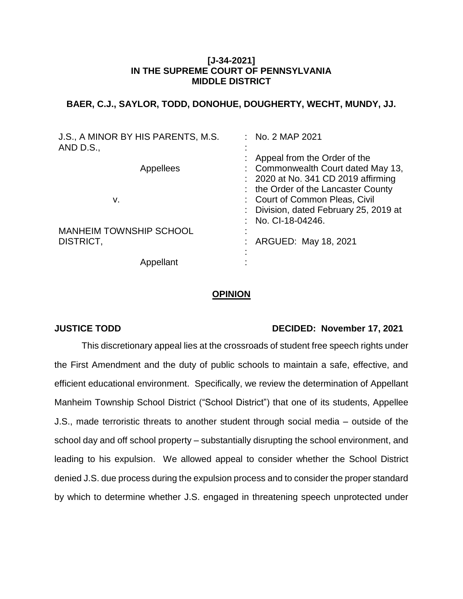### **[J-34-2021] IN THE SUPREME COURT OF PENNSYLVANIA MIDDLE DISTRICT**

# **BAER, C.J., SAYLOR, TODD, DONOHUE, DOUGHERTY, WECHT, MUNDY, JJ.**

| J.S., A MINOR BY HIS PARENTS, M.S.<br>AND D.S., | $:$ No. 2 MAP 2021                                                                                                                |
|-------------------------------------------------|-----------------------------------------------------------------------------------------------------------------------------------|
| Appellees                                       | Appeal from the Order of the<br>: Commonwealth Court dated May 13,<br>: 2020 at No. 341 CD 2019 affirming                         |
| v.                                              | the Order of the Lancaster County<br>: Court of Common Pleas, Civil<br>: Division, dated February 25, 2019 at<br>No. CI-18-04246. |
| <b>MANHEIM TOWNSHIP SCHOOL</b><br>DISTRICT,     | ARGUED: May 18, 2021                                                                                                              |
| Appellant                                       |                                                                                                                                   |

### **OPINION**

# **JUSTICE TODD DECIDED: November 17, 2021**

This discretionary appeal lies at the crossroads of student free speech rights under the First Amendment and the duty of public schools to maintain a safe, effective, and efficient educational environment. Specifically, we review the determination of Appellant Manheim Township School District ("School District") that one of its students, Appellee J.S., made terroristic threats to another student through social media – outside of the school day and off school property – substantially disrupting the school environment, and leading to his expulsion. We allowed appeal to consider whether the School District denied J.S. due process during the expulsion process and to consider the proper standard by which to determine whether J.S. engaged in threatening speech unprotected under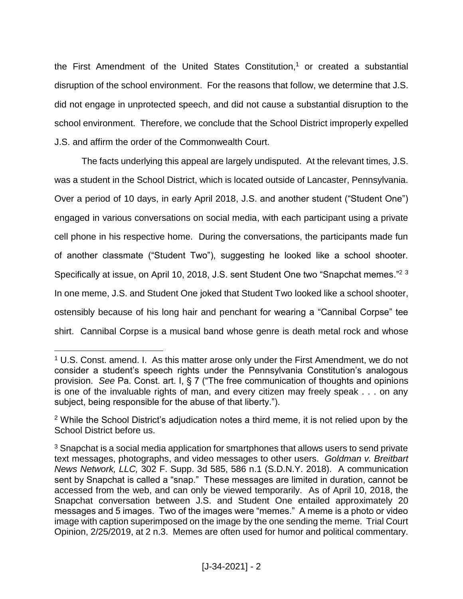the First Amendment of the United States Constitution, $1$  or created a substantial disruption of the school environment. For the reasons that follow, we determine that J.S. did not engage in unprotected speech, and did not cause a substantial disruption to the school environment. Therefore, we conclude that the School District improperly expelled J.S. and affirm the order of the Commonwealth Court.

The facts underlying this appeal are largely undisputed. At the relevant times, J.S. was a student in the School District, which is located outside of Lancaster, Pennsylvania. Over a period of 10 days, in early April 2018, J.S. and another student ("Student One") engaged in various conversations on social media, with each participant using a private cell phone in his respective home. During the conversations, the participants made fun of another classmate ("Student Two"), suggesting he looked like a school shooter. Specifically at issue, on April 10, 2018, J.S. sent Student One two "Snapchat memes."<sup>23</sup> In one meme, J.S. and Student One joked that Student Two looked like a school shooter, ostensibly because of his long hair and penchant for wearing a "Cannibal Corpse" tee shirt. Cannibal Corpse is a musical band whose genre is death metal rock and whose

 $1$  U.S. Const. amend. I. As this matter arose only under the First Amendment, we do not consider a student's speech rights under the Pennsylvania Constitution's analogous provision. *See* Pa. Const. art. I, § 7 ("The free communication of thoughts and opinions is one of the invaluable rights of man, and every citizen may freely speak . . . on any subject, being responsible for the abuse of that liberty.").

<sup>2</sup> While the School District's adjudication notes a third meme, it is not relied upon by the School District before us.

 $3$  Snapchat is a social media application for smartphones that allows users to send private text messages, photographs, and video messages to other users. *Goldman v. Breitbart News Network, LLC,* 302 F. Supp. 3d 585, 586 n.1 (S.D.N.Y. 2018). A communication sent by Snapchat is called a "snap." These messages are limited in duration, cannot be accessed from the web, and can only be viewed temporarily. As of April 10, 2018, the Snapchat conversation between J.S. and Student One entailed approximately 20 messages and 5 images. Two of the images were "memes." A meme is a photo or video image with caption superimposed on the image by the one sending the meme. Trial Court Opinion, 2/25/2019, at 2 n.3. Memes are often used for humor and political commentary.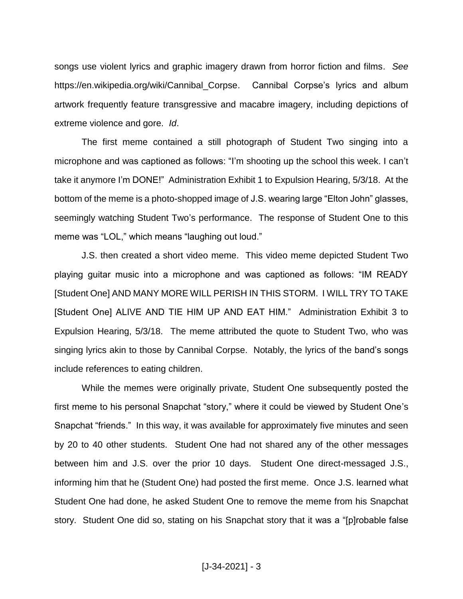songs use violent lyrics and graphic imagery drawn from horror fiction and films. *See* https://en.wikipedia.org/wiki/Cannibal\_Corpse. Cannibal Corpse's lyrics and album artwork frequently feature transgressive and macabre imagery, including depictions of extreme violence and gore. *Id*.

The first meme contained a still photograph of Student Two singing into a microphone and was captioned as follows: "I'm shooting up the school this week. I can't take it anymore I'm DONE!" Administration Exhibit 1 to Expulsion Hearing, 5/3/18. At the bottom of the meme is a photo-shopped image of J.S. wearing large "Elton John" glasses, seemingly watching Student Two's performance. The response of Student One to this meme was "LOL," which means "laughing out loud."

J.S. then created a short video meme. This video meme depicted Student Two playing guitar music into a microphone and was captioned as follows: "IM READY [Student One] AND MANY MORE WILL PERISH IN THIS STORM. I WILL TRY TO TAKE [Student One] ALIVE AND TIE HIM UP AND EAT HIM." Administration Exhibit 3 to Expulsion Hearing, 5/3/18. The meme attributed the quote to Student Two, who was singing lyrics akin to those by Cannibal Corpse. Notably, the lyrics of the band's songs include references to eating children.

While the memes were originally private, Student One subsequently posted the first meme to his personal Snapchat "story," where it could be viewed by Student One's Snapchat "friends." In this way, it was available for approximately five minutes and seen by 20 to 40 other students. Student One had not shared any of the other messages between him and J.S. over the prior 10 days. Student One direct-messaged J.S., informing him that he (Student One) had posted the first meme. Once J.S. learned what Student One had done, he asked Student One to remove the meme from his Snapchat story. Student One did so, stating on his Snapchat story that it was a "[p]robable false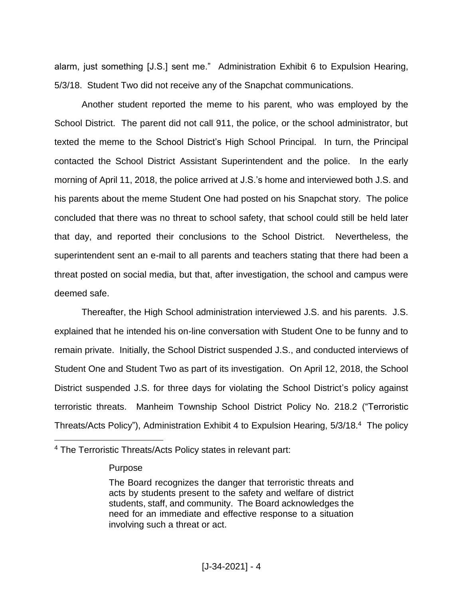alarm, just something [J.S.] sent me." Administration Exhibit 6 to Expulsion Hearing, 5/3/18. Student Two did not receive any of the Snapchat communications.

Another student reported the meme to his parent, who was employed by the School District. The parent did not call 911, the police, or the school administrator, but texted the meme to the School District's High School Principal. In turn, the Principal contacted the School District Assistant Superintendent and the police. In the early morning of April 11, 2018, the police arrived at J.S.'s home and interviewed both J.S. and his parents about the meme Student One had posted on his Snapchat story. The police concluded that there was no threat to school safety, that school could still be held later that day, and reported their conclusions to the School District. Nevertheless, the superintendent sent an e-mail to all parents and teachers stating that there had been a threat posted on social media, but that, after investigation, the school and campus were deemed safe.

Thereafter, the High School administration interviewed J.S. and his parents. J.S. explained that he intended his on-line conversation with Student One to be funny and to remain private. Initially, the School District suspended J.S., and conducted interviews of Student One and Student Two as part of its investigation. On April 12, 2018, the School District suspended J.S. for three days for violating the School District's policy against terroristic threats. Manheim Township School District Policy No. 218.2 ("Terroristic Threats/Acts Policy"), Administration Exhibit 4 to Expulsion Hearing, 5/3/18.<sup>4</sup> The policy

<sup>4</sup> The Terroristic Threats/Acts Policy states in relevant part:

Purpose

The Board recognizes the danger that terroristic threats and acts by students present to the safety and welfare of district students, staff, and community. The Board acknowledges the need for an immediate and effective response to a situation involving such a threat or act.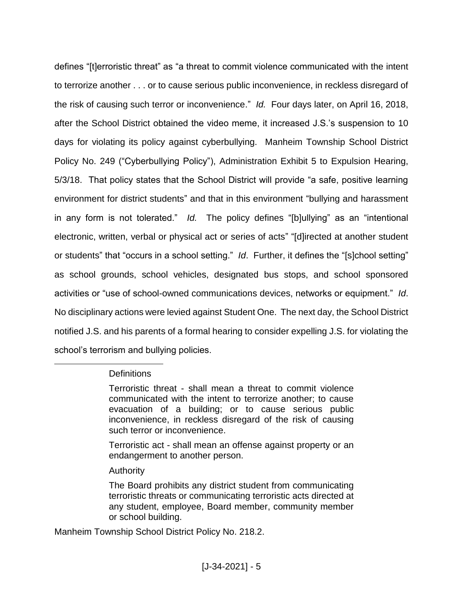defines "[t]erroristic threat" as "a threat to commit violence communicated with the intent to terrorize another . . . or to cause serious public inconvenience, in reckless disregard of the risk of causing such terror or inconvenience." *Id.* Four days later, on April 16, 2018, after the School District obtained the video meme, it increased J.S.'s suspension to 10 days for violating its policy against cyberbullying. Manheim Township School District Policy No. 249 ("Cyberbullying Policy"), Administration Exhibit 5 to Expulsion Hearing, 5/3/18. That policy states that the School District will provide "a safe, positive learning environment for district students" and that in this environment "bullying and harassment in any form is not tolerated." *Id.* The policy defines "[b]ullying" as an "intentional electronic, written, verbal or physical act or series of acts" "[d]irected at another student or students" that "occurs in a school setting." *Id*. Further, it defines the "[s]chool setting" as school grounds, school vehicles, designated bus stops, and school sponsored activities or "use of school-owned communications devices, networks or equipment." *Id*. No disciplinary actions were levied against Student One. The next day, the School District notified J.S. and his parents of a formal hearing to consider expelling J.S. for violating the school's terrorism and bullying policies.

# **Definitions**

 $\overline{a}$ 

Terroristic threat - shall mean a threat to commit violence communicated with the intent to terrorize another; to cause evacuation of a building; or to cause serious public inconvenience, in reckless disregard of the risk of causing such terror or inconvenience.

Terroristic act - shall mean an offense against property or an endangerment to another person.

# Authority

The Board prohibits any district student from communicating terroristic threats or communicating terroristic acts directed at any student, employee, Board member, community member or school building.

Manheim Township School District Policy No. 218.2.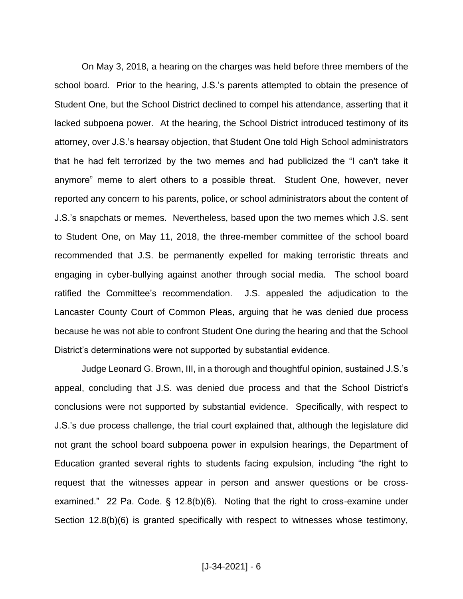On May 3, 2018, a hearing on the charges was held before three members of the school board. Prior to the hearing, J.S.'s parents attempted to obtain the presence of Student One, but the School District declined to compel his attendance, asserting that it lacked subpoena power. At the hearing, the School District introduced testimony of its attorney, over J.S.'s hearsay objection, that Student One told High School administrators that he had felt terrorized by the two memes and had publicized the "I can't take it anymore" meme to alert others to a possible threat. Student One, however, never reported any concern to his parents, police, or school administrators about the content of J.S.'s snapchats or memes. Nevertheless, based upon the two memes which J.S. sent to Student One, on May 11, 2018, the three-member committee of the school board recommended that J.S. be permanently expelled for making terroristic threats and engaging in cyber-bullying against another through social media. The school board ratified the Committee's recommendation. J.S. appealed the adjudication to the Lancaster County Court of Common Pleas, arguing that he was denied due process because he was not able to confront Student One during the hearing and that the School District's determinations were not supported by substantial evidence.

Judge Leonard G. Brown, III, in a thorough and thoughtful opinion, sustained J.S.'s appeal, concluding that J.S. was denied due process and that the School District's conclusions were not supported by substantial evidence. Specifically, with respect to J.S.'s due process challenge, the trial court explained that, although the legislature did not grant the school board subpoena power in expulsion hearings, the Department of Education granted several rights to students facing expulsion, including "the right to request that the witnesses appear in person and answer questions or be crossexamined." 22 Pa. Code. § 12.8(b)(6). Noting that the right to cross-examine under Section 12.8(b)(6) is granted specifically with respect to witnesses whose testimony,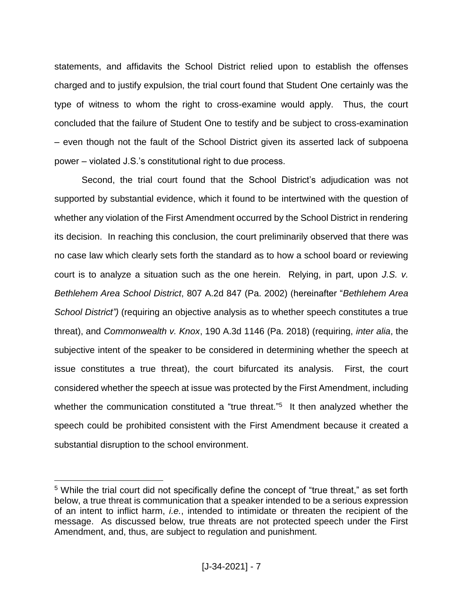statements, and affidavits the School District relied upon to establish the offenses charged and to justify expulsion, the trial court found that Student One certainly was the type of witness to whom the right to cross-examine would apply. Thus, the court concluded that the failure of Student One to testify and be subject to cross-examination – even though not the fault of the School District given its asserted lack of subpoena power – violated J.S.'s constitutional right to due process.

Second, the trial court found that the School District's adjudication was not supported by substantial evidence, which it found to be intertwined with the question of whether any violation of the First Amendment occurred by the School District in rendering its decision. In reaching this conclusion, the court preliminarily observed that there was no case law which clearly sets forth the standard as to how a school board or reviewing court is to analyze a situation such as the one herein. Relying, in part, upon *J.S. v. Bethlehem Area School District*, 807 A.2d 847 (Pa. 2002) (hereinafter "*Bethlehem Area School District")* (requiring an objective analysis as to whether speech constitutes a true threat), and *Commonwealth v. Knox*, 190 A.3d 1146 (Pa. 2018) (requiring, *inter alia*, the subjective intent of the speaker to be considered in determining whether the speech at issue constitutes a true threat), the court bifurcated its analysis. First, the court considered whether the speech at issue was protected by the First Amendment, including whether the communication constituted a "true threat."<sup>5</sup> It then analyzed whether the speech could be prohibited consistent with the First Amendment because it created a substantial disruption to the school environment.

<sup>&</sup>lt;sup>5</sup> While the trial court did not specifically define the concept of "true threat," as set forth below, a true threat is communication that a speaker intended to be a serious expression of an intent to inflict harm, *i.e.*, intended to intimidate or threaten the recipient of the message. As discussed below, true threats are not protected speech under the First Amendment, and, thus, are subject to regulation and punishment.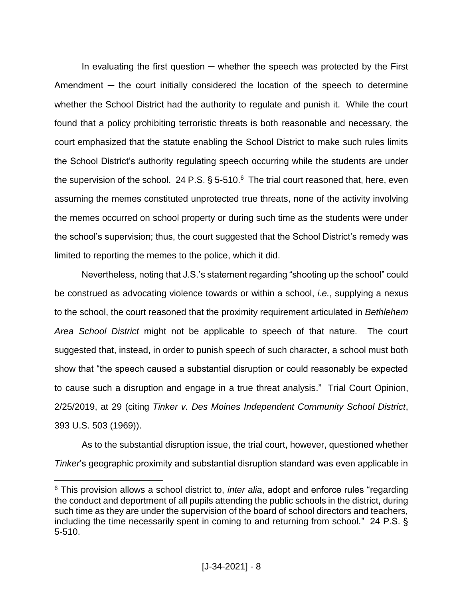In evaluating the first question  $-$  whether the speech was protected by the First Amendment — the court initially considered the location of the speech to determine whether the School District had the authority to regulate and punish it. While the court found that a policy prohibiting terroristic threats is both reasonable and necessary, the court emphasized that the statute enabling the School District to make such rules limits the School District's authority regulating speech occurring while the students are under the supervision of the school. 24 P.S.  $\S 5{\text -}510.6$  The trial court reasoned that, here, even assuming the memes constituted unprotected true threats, none of the activity involving the memes occurred on school property or during such time as the students were under the school's supervision; thus, the court suggested that the School District's remedy was limited to reporting the memes to the police, which it did.

Nevertheless, noting that J.S.'s statement regarding "shooting up the school" could be construed as advocating violence towards or within a school, *i.e.*, supplying a nexus to the school, the court reasoned that the proximity requirement articulated in *Bethlehem Area School District* might not be applicable to speech of that nature. The court suggested that, instead, in order to punish speech of such character, a school must both show that "the speech caused a substantial disruption or could reasonably be expected to cause such a disruption and engage in a true threat analysis." Trial Court Opinion, 2/25/2019, at 29 (citing *Tinker v. Des Moines Independent Community School District*, 393 U.S. 503 (1969)).

As to the substantial disruption issue, the trial court, however, questioned whether *Tinker*'s geographic proximity and substantial disruption standard was even applicable in

<sup>6</sup> This provision allows a school district to, *inter alia*, adopt and enforce rules "regarding the conduct and deportment of all pupils attending the public schools in the district, during such time as they are under the supervision of the board of school directors and teachers, including the time necessarily spent in coming to and returning from school." 24 P.S. § 5-510.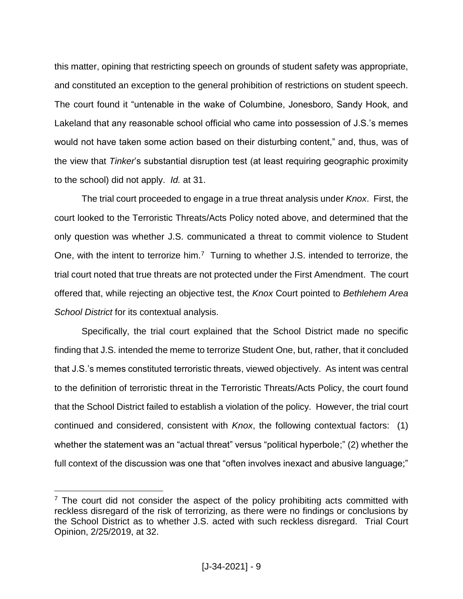this matter, opining that restricting speech on grounds of student safety was appropriate, and constituted an exception to the general prohibition of restrictions on student speech. The court found it "untenable in the wake of Columbine, Jonesboro, Sandy Hook, and Lakeland that any reasonable school official who came into possession of J.S.'s memes would not have taken some action based on their disturbing content," and, thus, was of the view that *Tinker*'s substantial disruption test (at least requiring geographic proximity to the school) did not apply. *Id.* at 31.

The trial court proceeded to engage in a true threat analysis under *Knox*. First, the court looked to the Terroristic Threats/Acts Policy noted above, and determined that the only question was whether J.S. communicated a threat to commit violence to Student One, with the intent to terrorize him.<sup>7</sup> Turning to whether J.S. intended to terrorize, the trial court noted that true threats are not protected under the First Amendment. The court offered that, while rejecting an objective test, the *Knox* Court pointed to *Bethlehem Area School District* for its contextual analysis.

Specifically, the trial court explained that the School District made no specific finding that J.S. intended the meme to terrorize Student One, but, rather, that it concluded that J.S.'s memes constituted terroristic threats, viewed objectively. As intent was central to the definition of terroristic threat in the Terroristic Threats/Acts Policy, the court found that the School District failed to establish a violation of the policy. However, the trial court continued and considered, consistent with *Knox*, the following contextual factors: (1) whether the statement was an "actual threat" versus "political hyperbole;" (2) whether the full context of the discussion was one that "often involves inexact and abusive language;"

 $<sup>7</sup>$  The court did not consider the aspect of the policy prohibiting acts committed with</sup> reckless disregard of the risk of terrorizing, as there were no findings or conclusions by the School District as to whether J.S. acted with such reckless disregard. Trial Court Opinion, 2/25/2019, at 32.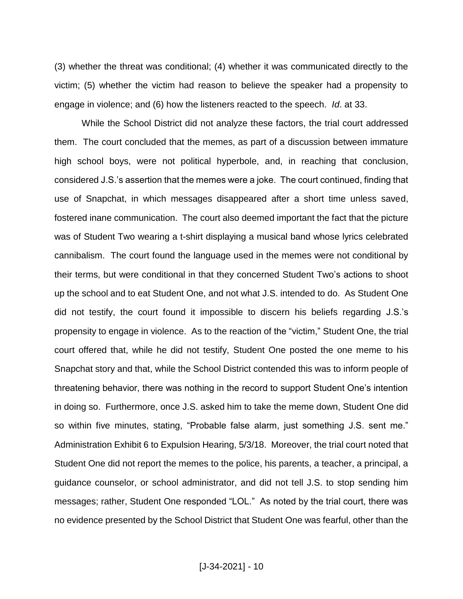(3) whether the threat was conditional; (4) whether it was communicated directly to the victim; (5) whether the victim had reason to believe the speaker had a propensity to engage in violence; and (6) how the listeners reacted to the speech. *Id*. at 33.

While the School District did not analyze these factors, the trial court addressed them. The court concluded that the memes, as part of a discussion between immature high school boys, were not political hyperbole, and, in reaching that conclusion, considered J.S.'s assertion that the memes were a joke. The court continued, finding that use of Snapchat, in which messages disappeared after a short time unless saved, fostered inane communication. The court also deemed important the fact that the picture was of Student Two wearing a t-shirt displaying a musical band whose lyrics celebrated cannibalism. The court found the language used in the memes were not conditional by their terms, but were conditional in that they concerned Student Two's actions to shoot up the school and to eat Student One, and not what J.S. intended to do. As Student One did not testify, the court found it impossible to discern his beliefs regarding J.S.'s propensity to engage in violence. As to the reaction of the "victim," Student One, the trial court offered that, while he did not testify, Student One posted the one meme to his Snapchat story and that, while the School District contended this was to inform people of threatening behavior, there was nothing in the record to support Student One's intention in doing so. Furthermore, once J.S. asked him to take the meme down, Student One did so within five minutes, stating, "Probable false alarm, just something J.S. sent me." Administration Exhibit 6 to Expulsion Hearing, 5/3/18. Moreover, the trial court noted that Student One did not report the memes to the police, his parents, a teacher, a principal, a guidance counselor, or school administrator, and did not tell J.S. to stop sending him messages; rather, Student One responded "LOL." As noted by the trial court, there was no evidence presented by the School District that Student One was fearful, other than the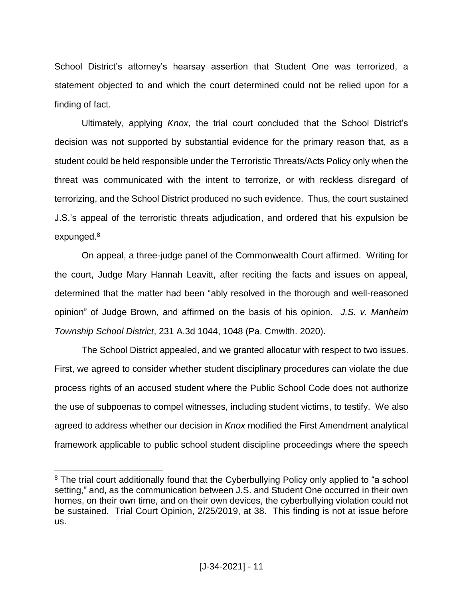School District's attorney's hearsay assertion that Student One was terrorized, a statement objected to and which the court determined could not be relied upon for a finding of fact.

Ultimately, applying *Knox*, the trial court concluded that the School District's decision was not supported by substantial evidence for the primary reason that, as a student could be held responsible under the Terroristic Threats/Acts Policy only when the threat was communicated with the intent to terrorize, or with reckless disregard of terrorizing, and the School District produced no such evidence. Thus, the court sustained J.S.'s appeal of the terroristic threats adjudication, and ordered that his expulsion be expunged.<sup>8</sup>

On appeal, a three-judge panel of the Commonwealth Court affirmed. Writing for the court, Judge Mary Hannah Leavitt, after reciting the facts and issues on appeal, determined that the matter had been "ably resolved in the thorough and well-reasoned opinion" of Judge Brown, and affirmed on the basis of his opinion. *J.S. v. Manheim Township School District*, 231 A.3d 1044, 1048 (Pa. Cmwlth. 2020).

The School District appealed, and we granted allocatur with respect to two issues. First, we agreed to consider whether student disciplinary procedures can violate the due process rights of an accused student where the Public School Code does not authorize the use of subpoenas to compel witnesses, including student victims, to testify. We also agreed to address whether our decision in *Knox* modified the First Amendment analytical framework applicable to public school student discipline proceedings where the speech

<sup>&</sup>lt;sup>8</sup> The trial court additionally found that the Cyberbullying Policy only applied to "a school setting," and, as the communication between J.S. and Student One occurred in their own homes, on their own time, and on their own devices, the cyberbullying violation could not be sustained. Trial Court Opinion, 2/25/2019, at 38. This finding is not at issue before us.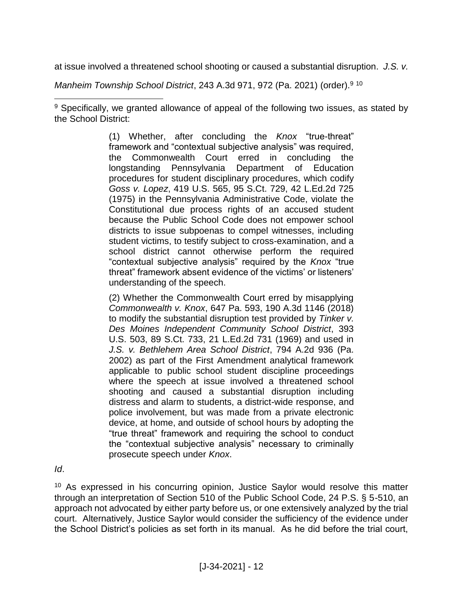at issue involved a threatened school shooting or caused a substantial disruption. *J.S. v.* 

*Manheim Township School District*, 243 A.3d 971, 972 (Pa. 2021) (order).<sup>9</sup> <sup>10</sup>

 $\overline{a}$ <sup>9</sup> Specifically, we granted allowance of appeal of the following two issues, as stated by the School District:

> (1) Whether, after concluding the *Knox* "true-threat" framework and "contextual subjective analysis" was required, the Commonwealth Court erred in concluding the longstanding Pennsylvania Department of Education procedures for student disciplinary procedures, which codify *Goss v. Lopez*, 419 U.S. 565, 95 S.Ct. 729, 42 L.Ed.2d 725 (1975) in the Pennsylvania Administrative Code, violate the Constitutional due process rights of an accused student because the Public School Code does not empower school districts to issue subpoenas to compel witnesses, including student victims, to testify subject to cross-examination, and a school district cannot otherwise perform the required "contextual subjective analysis" required by the *Knox* "true threat" framework absent evidence of the victims' or listeners' understanding of the speech.

> (2) Whether the Commonwealth Court erred by misapplying *Commonwealth v. Knox*, 647 Pa. 593, 190 A.3d 1146 (2018) to modify the substantial disruption test provided by *Tinker v. Des Moines Independent Community School District*, 393 U.S. 503, 89 S.Ct. 733, 21 L.Ed.2d 731 (1969) and used in *J.S. v. Bethlehem Area School District*, 794 A.2d 936 (Pa. 2002) as part of the First Amendment analytical framework applicable to public school student discipline proceedings where the speech at issue involved a threatened school shooting and caused a substantial disruption including distress and alarm to students, a district-wide response, and police involvement, but was made from a private electronic device, at home, and outside of school hours by adopting the "true threat" framework and requiring the school to conduct the "contextual subjective analysis" necessary to criminally prosecute speech under *Knox*.

*Id*.

<sup>10</sup> As expressed in his concurring opinion, Justice Saylor would resolve this matter through an interpretation of Section 510 of the Public School Code, 24 P.S. § 5-510, an approach not advocated by either party before us, or one extensively analyzed by the trial court. Alternatively, Justice Saylor would consider the sufficiency of the evidence under the School District's policies as set forth in its manual. As he did before the trial court,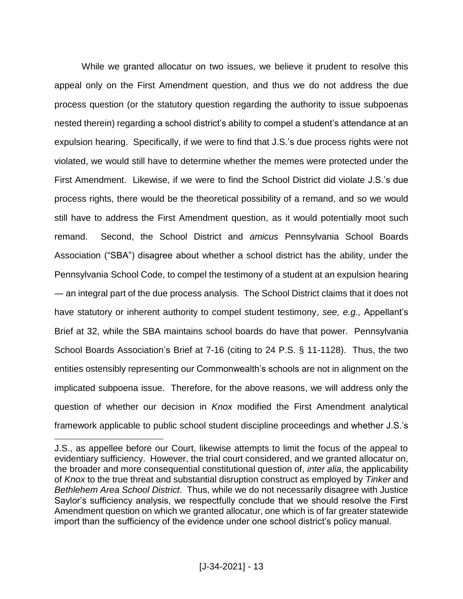While we granted allocatur on two issues, we believe it prudent to resolve this appeal only on the First Amendment question, and thus we do not address the due process question (or the statutory question regarding the authority to issue subpoenas nested therein) regarding a school district's ability to compel a student's attendance at an expulsion hearing. Specifically, if we were to find that J.S.'s due process rights were not violated, we would still have to determine whether the memes were protected under the First Amendment. Likewise, if we were to find the School District did violate J.S.'s due process rights, there would be the theoretical possibility of a remand, and so we would still have to address the First Amendment question, as it would potentially moot such remand. Second, the School District and *amicus* Pennsylvania School Boards Association ("SBA") disagree about whether a school district has the ability, under the Pennsylvania School Code, to compel the testimony of a student at an expulsion hearing ― an integral part of the due process analysis. The School District claims that it does not have statutory or inherent authority to compel student testimony, *see, e.g.,* Appellant's Brief at 32, while the SBA maintains school boards do have that power. Pennsylvania School Boards Association's Brief at 7-16 (citing to 24 P.S. § 11-1128). Thus, the two entities ostensibly representing our Commonwealth's schools are not in alignment on the implicated subpoena issue. Therefore, for the above reasons, we will address only the question of whether our decision in *Knox* modified the First Amendment analytical framework applicable to public school student discipline proceedings and whether J.S.'s

J.S., as appellee before our Court, likewise attempts to limit the focus of the appeal to evidentiary sufficiency. However, the trial court considered, and we granted allocatur on, the broader and more consequential constitutional question of, *inter alia*, the applicability of *Knox* to the true threat and substantial disruption construct as employed by *Tinker* and *Bethlehem Area School District*. Thus, while we do not necessarily disagree with Justice Saylor's sufficiency analysis, we respectfully conclude that we should resolve the First Amendment question on which we granted allocatur, one which is of far greater statewide import than the sufficiency of the evidence under one school district's policy manual.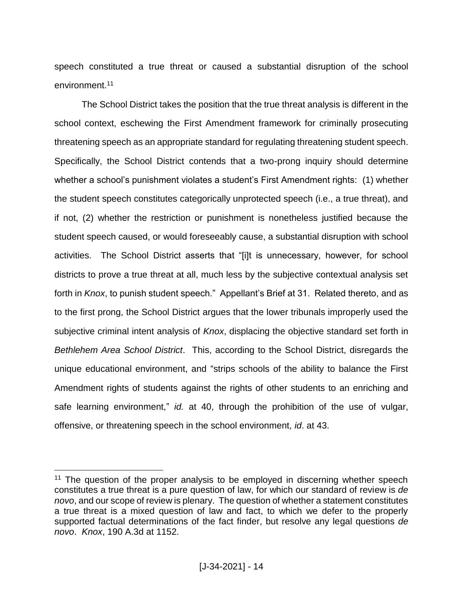speech constituted a true threat or caused a substantial disruption of the school environment.<sup>11</sup>

The School District takes the position that the true threat analysis is different in the school context, eschewing the First Amendment framework for criminally prosecuting threatening speech as an appropriate standard for regulating threatening student speech. Specifically, the School District contends that a two-prong inquiry should determine whether a school's punishment violates a student's First Amendment rights: (1) whether the student speech constitutes categorically unprotected speech (i.e., a true threat), and if not, (2) whether the restriction or punishment is nonetheless justified because the student speech caused, or would foreseeably cause, a substantial disruption with school activities. The School District asserts that "[i]t is unnecessary, however, for school districts to prove a true threat at all, much less by the subjective contextual analysis set forth in *Knox*, to punish student speech." Appellant's Brief at 31. Related thereto, and as to the first prong, the School District argues that the lower tribunals improperly used the subjective criminal intent analysis of *Knox*, displacing the objective standard set forth in *Bethlehem Area School District*. This, according to the School District, disregards the unique educational environment, and "strips schools of the ability to balance the First Amendment rights of students against the rights of other students to an enriching and safe learning environment," *id.* at 40, through the prohibition of the use of vulgar, offensive, or threatening speech in the school environment, *id*. at 43.

<sup>&</sup>lt;sup>11</sup> The question of the proper analysis to be employed in discerning whether speech constitutes a true threat is a pure question of law, for which our standard of review is *de novo*, and our scope of review is plenary. The question of whether a statement constitutes a true threat is a mixed question of law and fact, to which we defer to the properly supported factual determinations of the fact finder, but resolve any legal questions *de novo*. *Knox*, 190 A.3d at 1152.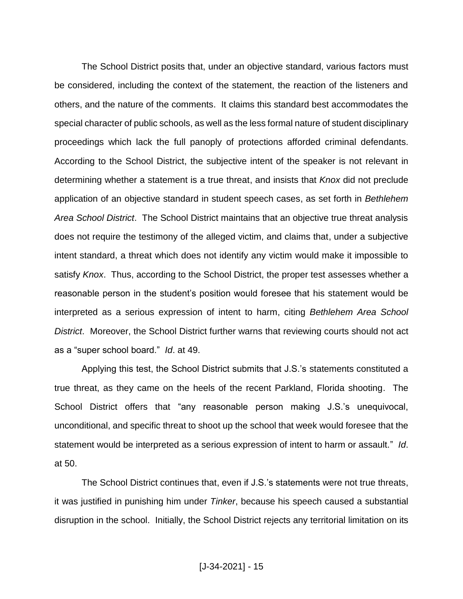The School District posits that, under an objective standard, various factors must be considered, including the context of the statement, the reaction of the listeners and others, and the nature of the comments. It claims this standard best accommodates the special character of public schools, as well as the less formal nature of student disciplinary proceedings which lack the full panoply of protections afforded criminal defendants. According to the School District, the subjective intent of the speaker is not relevant in determining whether a statement is a true threat, and insists that *Knox* did not preclude application of an objective standard in student speech cases, as set forth in *Bethlehem Area School District*. The School District maintains that an objective true threat analysis does not require the testimony of the alleged victim, and claims that, under a subjective intent standard, a threat which does not identify any victim would make it impossible to satisfy *Knox*. Thus, according to the School District, the proper test assesses whether a reasonable person in the student's position would foresee that his statement would be interpreted as a serious expression of intent to harm, citing *Bethlehem Area School District*. Moreover, the School District further warns that reviewing courts should not act as a "super school board." *Id*. at 49.

Applying this test, the School District submits that J.S.'s statements constituted a true threat, as they came on the heels of the recent Parkland, Florida shooting. The School District offers that "any reasonable person making J.S.'s unequivocal, unconditional, and specific threat to shoot up the school that week would foresee that the statement would be interpreted as a serious expression of intent to harm or assault." *Id*. at 50.

The School District continues that, even if J.S.'s statements were not true threats, it was justified in punishing him under *Tinker*, because his speech caused a substantial disruption in the school. Initially, the School District rejects any territorial limitation on its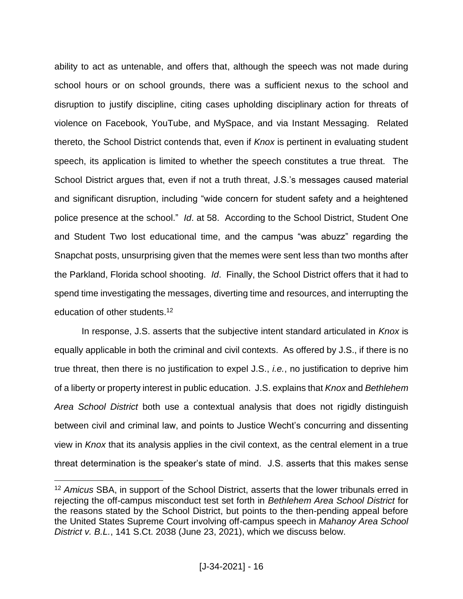ability to act as untenable, and offers that, although the speech was not made during school hours or on school grounds, there was a sufficient nexus to the school and disruption to justify discipline, citing cases upholding disciplinary action for threats of violence on Facebook, YouTube, and MySpace, and via Instant Messaging. Related thereto, the School District contends that, even if *Knox* is pertinent in evaluating student speech, its application is limited to whether the speech constitutes a true threat. The School District argues that, even if not a truth threat, J.S.'s messages caused material and significant disruption, including "wide concern for student safety and a heightened police presence at the school." *Id*. at 58. According to the School District, Student One and Student Two lost educational time, and the campus "was abuzz" regarding the Snapchat posts, unsurprising given that the memes were sent less than two months after the Parkland, Florida school shooting. *Id*. Finally, the School District offers that it had to spend time investigating the messages, diverting time and resources, and interrupting the education of other students.<sup>12</sup>

In response, J.S. asserts that the subjective intent standard articulated in *Knox* is equally applicable in both the criminal and civil contexts. As offered by J.S., if there is no true threat, then there is no justification to expel J.S., *i.e.*, no justification to deprive him of a liberty or property interest in public education. J.S. explains that *Knox* and *Bethlehem Area School District* both use a contextual analysis that does not rigidly distinguish between civil and criminal law, and points to Justice Wecht's concurring and dissenting view in *Knox* that its analysis applies in the civil context, as the central element in a true threat determination is the speaker's state of mind. J.S. asserts that this makes sense

<sup>12</sup> *Amicus* SBA, in support of the School District, asserts that the lower tribunals erred in rejecting the off-campus misconduct test set forth in *Bethlehem Area School District* for the reasons stated by the School District, but points to the then-pending appeal before the United States Supreme Court involving off-campus speech in *Mahanoy Area School District v. B.L.*, 141 S.Ct. 2038 (June 23, 2021), which we discuss below.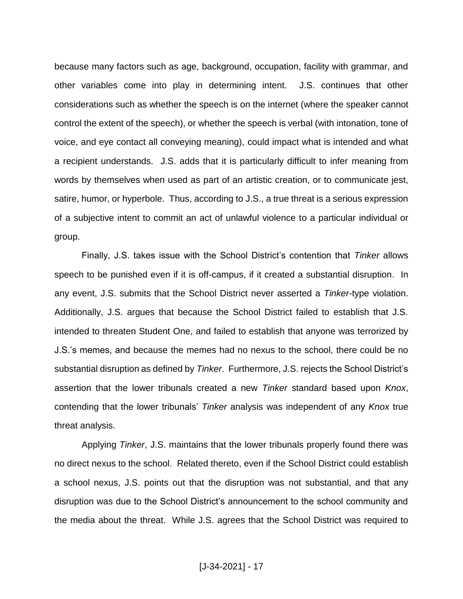because many factors such as age, background, occupation, facility with grammar, and other variables come into play in determining intent. J.S. continues that other considerations such as whether the speech is on the internet (where the speaker cannot control the extent of the speech), or whether the speech is verbal (with intonation, tone of voice, and eye contact all conveying meaning), could impact what is intended and what a recipient understands. J.S. adds that it is particularly difficult to infer meaning from words by themselves when used as part of an artistic creation, or to communicate jest, satire, humor, or hyperbole. Thus, according to J.S., a true threat is a serious expression of a subjective intent to commit an act of unlawful violence to a particular individual or group.

Finally, J.S. takes issue with the School District's contention that *Tinker* allows speech to be punished even if it is off-campus, if it created a substantial disruption. In any event, J.S. submits that the School District never asserted a *Tinker*-type violation. Additionally, J.S. argues that because the School District failed to establish that J.S. intended to threaten Student One, and failed to establish that anyone was terrorized by J.S.'s memes, and because the memes had no nexus to the school, there could be no substantial disruption as defined by *Tinker*. Furthermore, J.S. rejects the School District's assertion that the lower tribunals created a new *Tinker* standard based upon *Knox*, contending that the lower tribunals' *Tinker* analysis was independent of any *Knox* true threat analysis.

Applying *Tinker*, J.S. maintains that the lower tribunals properly found there was no direct nexus to the school. Related thereto, even if the School District could establish a school nexus, J.S. points out that the disruption was not substantial, and that any disruption was due to the School District's announcement to the school community and the media about the threat. While J.S. agrees that the School District was required to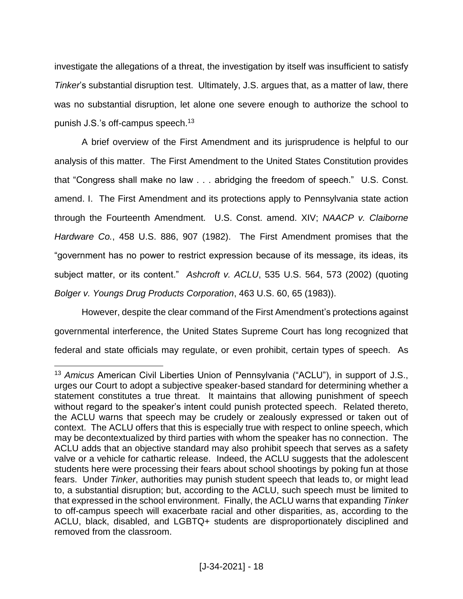investigate the allegations of a threat, the investigation by itself was insufficient to satisfy *Tinker*'s substantial disruption test. Ultimately, J.S. argues that, as a matter of law, there was no substantial disruption, let alone one severe enough to authorize the school to punish J.S.'s off-campus speech.<sup>13</sup>

A brief overview of the First Amendment and its jurisprudence is helpful to our analysis of this matter. The First Amendment to the United States Constitution provides that "Congress shall make no law . . . abridging the freedom of speech." U.S. Const. amend. I. The First Amendment and its protections apply to Pennsylvania state action through the Fourteenth Amendment. U.S. Const. amend. XIV; *NAACP v. Claiborne Hardware Co.*, 458 U.S. 886, 907 (1982). The First Amendment promises that the "government has no power to restrict expression because of its message, its ideas, its subject matter, or its content." *Ashcroft v. ACLU*, 535 U.S. 564, 573 (2002) (quoting *Bolger v. Youngs Drug Products Corporation*, 463 U.S. 60, 65 (1983)).

However, despite the clear command of the First Amendment's protections against governmental interference, the United States Supreme Court has long recognized that federal and state officials may regulate, or even prohibit, certain types of speech. As

<sup>13</sup> *Amicus* American Civil Liberties Union of Pennsylvania ("ACLU"), in support of J.S., urges our Court to adopt a subjective speaker-based standard for determining whether a statement constitutes a true threat. It maintains that allowing punishment of speech without regard to the speaker's intent could punish protected speech. Related thereto, the ACLU warns that speech may be crudely or zealously expressed or taken out of context. The ACLU offers that this is especially true with respect to online speech, which may be decontextualized by third parties with whom the speaker has no connection. The ACLU adds that an objective standard may also prohibit speech that serves as a safety valve or a vehicle for cathartic release. Indeed, the ACLU suggests that the adolescent students here were processing their fears about school shootings by poking fun at those fears. Under *Tinker*, authorities may punish student speech that leads to, or might lead to, a substantial disruption; but, according to the ACLU, such speech must be limited to that expressed in the school environment. Finally, the ACLU warns that expanding *Tinker* to off-campus speech will exacerbate racial and other disparities, as, according to the ACLU, black, disabled, and LGBTQ+ students are disproportionately disciplined and removed from the classroom.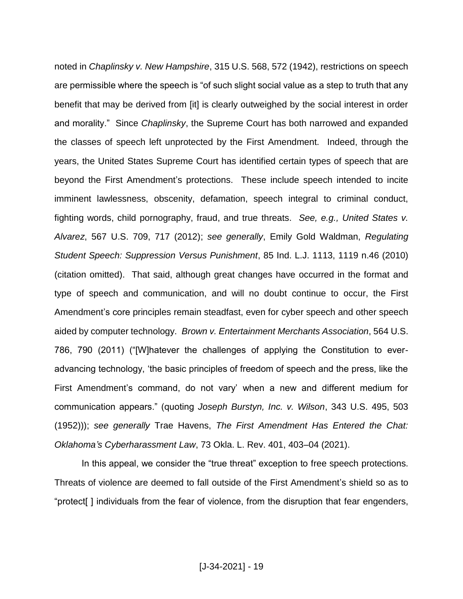noted in *Chaplinsky v. New Hampshire*, 315 U.S. 568, 572 (1942), restrictions on speech are permissible where the speech is "of such slight social value as a step to truth that any benefit that may be derived from [it] is clearly outweighed by the social interest in order and morality." Since *Chaplinsky*, the Supreme Court has both narrowed and expanded the classes of speech left unprotected by the First Amendment. Indeed, through the years, the United States Supreme Court has identified certain types of speech that are beyond the First Amendment's protections. These include speech intended to incite imminent lawlessness, obscenity, defamation, speech integral to criminal conduct, fighting words, child pornography, fraud, and true threats. *See, e.g., United States v. Alvarez*, 567 U.S. 709, 717 (2012); *see generally*, Emily Gold Waldman, *Regulating Student Speech: Suppression Versus Punishment*, 85 Ind. L.J. 1113, 1119 n.46 (2010) (citation omitted). That said, although great changes have occurred in the format and type of speech and communication, and will no doubt continue to occur, the First Amendment's core principles remain steadfast, even for cyber speech and other speech aided by computer technology. *Brown v. Entertainment Merchants Association*, 564 U.S. 786, 790 (2011) ("[W]hatever the challenges of applying the Constitution to everadvancing technology, 'the basic principles of freedom of speech and the press, like the First Amendment's command, do not vary' when a new and different medium for communication appears." (quoting *Joseph Burstyn, Inc. v. Wilson*, 343 U.S. 495, 503 (1952))); *see generally* Trae Havens, *The First Amendment Has Entered the Chat: Oklahoma's Cyberharassment Law*, 73 Okla. L. Rev. 401, 403–04 (2021).

In this appeal, we consider the "true threat" exception to free speech protections. Threats of violence are deemed to fall outside of the First Amendment's shield so as to "protect[ ] individuals from the fear of violence, from the disruption that fear engenders,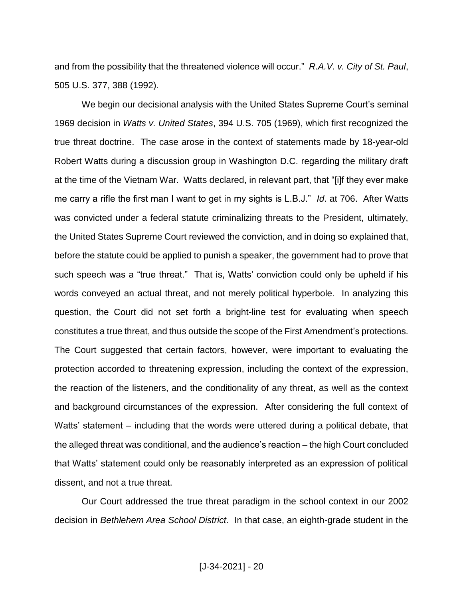and from the possibility that the threatened violence will occur." *R.A.V. v. City of St. Paul*, 505 U.S. 377, 388 (1992).

We begin our decisional analysis with the United States Supreme Court's seminal 1969 decision in *Watts v. United States*, 394 U.S. 705 (1969), which first recognized the true threat doctrine. The case arose in the context of statements made by 18-year-old Robert Watts during a discussion group in Washington D.C. regarding the military draft at the time of the Vietnam War. Watts declared, in relevant part, that "[i]f they ever make me carry a rifle the first man I want to get in my sights is L.B.J." *Id*. at 706. After Watts was convicted under a federal statute criminalizing threats to the President, ultimately, the United States Supreme Court reviewed the conviction, and in doing so explained that, before the statute could be applied to punish a speaker, the government had to prove that such speech was a "true threat." That is, Watts' conviction could only be upheld if his words conveyed an actual threat, and not merely political hyperbole. In analyzing this question, the Court did not set forth a bright-line test for evaluating when speech constitutes a true threat, and thus outside the scope of the First Amendment's protections. The Court suggested that certain factors, however, were important to evaluating the protection accorded to threatening expression, including the context of the expression, the reaction of the listeners, and the conditionality of any threat, as well as the context and background circumstances of the expression. After considering the full context of Watts' statement – including that the words were uttered during a political debate, that the alleged threat was conditional, and the audience's reaction – the high Court concluded that Watts' statement could only be reasonably interpreted as an expression of political dissent, and not a true threat.

Our Court addressed the true threat paradigm in the school context in our 2002 decision in *Bethlehem Area School District*. In that case, an eighth-grade student in the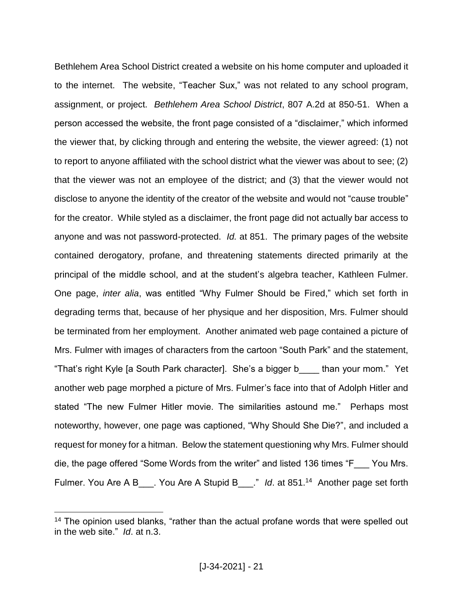Bethlehem Area School District created a website on his home computer and uploaded it to the internet. The website, "Teacher Sux," was not related to any school program, assignment, or project. *Bethlehem Area School District*, 807 A.2d at 850-51. When a person accessed the website, the front page consisted of a "disclaimer," which informed the viewer that, by clicking through and entering the website, the viewer agreed: (1) not to report to anyone affiliated with the school district what the viewer was about to see; (2) that the viewer was not an employee of the district; and (3) that the viewer would not disclose to anyone the identity of the creator of the website and would not "cause trouble" for the creator. While styled as a disclaimer, the front page did not actually bar access to anyone and was not password-protected. *Id.* at 851. The primary pages of the website contained derogatory, profane, and threatening statements directed primarily at the principal of the middle school, and at the student's algebra teacher, Kathleen Fulmer. One page, *inter alia*, was entitled "Why Fulmer Should be Fired," which set forth in degrading terms that, because of her physique and her disposition, Mrs. Fulmer should be terminated from her employment. Another animated web page contained a picture of Mrs. Fulmer with images of characters from the cartoon "South Park" and the statement, "That's right Kyle [a South Park character]. She's a bigger b\_\_\_\_ than your mom." Yet another web page morphed a picture of Mrs. Fulmer's face into that of Adolph Hitler and stated "The new Fulmer Hitler movie. The similarities astound me." Perhaps most noteworthy, however, one page was captioned, "Why Should She Die?", and included a request for money for a hitman. Below the statement questioning why Mrs. Fulmer should die, the page offered "Some Words from the writer" and listed 136 times "F\_\_\_ You Mrs. Fulmer. You Are A B\_\_\_. You Are A Stupid B\_\_\_." *Id.* at 851.<sup>14</sup> Another page set forth

<sup>&</sup>lt;sup>14</sup> The opinion used blanks, "rather than the actual profane words that were spelled out in the web site." *Id*. at n.3.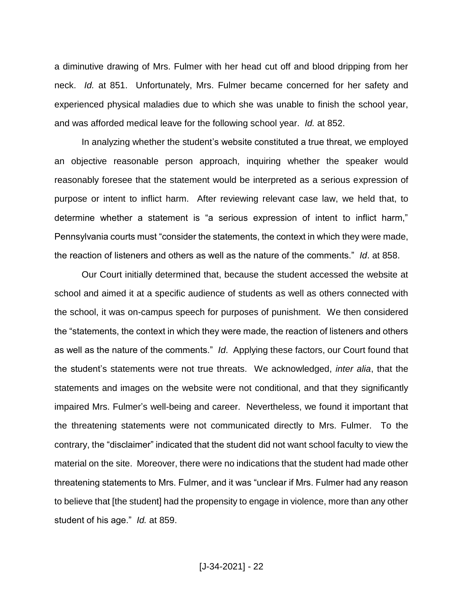a diminutive drawing of Mrs. Fulmer with her head cut off and blood dripping from her neck. *Id.* at 851. Unfortunately, Mrs. Fulmer became concerned for her safety and experienced physical maladies due to which she was unable to finish the school year, and was afforded medical leave for the following school year. *Id.* at 852.

In analyzing whether the student's website constituted a true threat, we employed an objective reasonable person approach, inquiring whether the speaker would reasonably foresee that the statement would be interpreted as a serious expression of purpose or intent to inflict harm. After reviewing relevant case law, we held that, to determine whether a statement is "a serious expression of intent to inflict harm," Pennsylvania courts must "consider the statements, the context in which they were made, the reaction of listeners and others as well as the nature of the comments." *Id*. at 858.

Our Court initially determined that, because the student accessed the website at school and aimed it at a specific audience of students as well as others connected with the school, it was on-campus speech for purposes of punishment. We then considered the "statements, the context in which they were made, the reaction of listeners and others as well as the nature of the comments." *Id*. Applying these factors, our Court found that the student's statements were not true threats. We acknowledged, *inter alia*, that the statements and images on the website were not conditional, and that they significantly impaired Mrs. Fulmer's well-being and career. Nevertheless, we found it important that the threatening statements were not communicated directly to Mrs. Fulmer. To the contrary, the "disclaimer" indicated that the student did not want school faculty to view the material on the site. Moreover, there were no indications that the student had made other threatening statements to Mrs. Fulmer, and it was "unclear if Mrs. Fulmer had any reason to believe that [the student] had the propensity to engage in violence, more than any other student of his age." *Id.* at 859.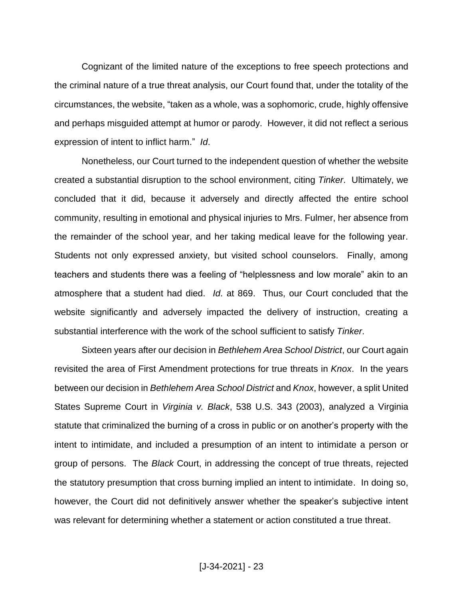Cognizant of the limited nature of the exceptions to free speech protections and the criminal nature of a true threat analysis, our Court found that, under the totality of the circumstances, the website, "taken as a whole, was a sophomoric, crude, highly offensive and perhaps misguided attempt at humor or parody. However, it did not reflect a serious expression of intent to inflict harm." *Id*.

Nonetheless, our Court turned to the independent question of whether the website created a substantial disruption to the school environment, citing *Tinker*. Ultimately, we concluded that it did, because it adversely and directly affected the entire school community, resulting in emotional and physical injuries to Mrs. Fulmer, her absence from the remainder of the school year, and her taking medical leave for the following year. Students not only expressed anxiety, but visited school counselors. Finally, among teachers and students there was a feeling of "helplessness and low morale" akin to an atmosphere that a student had died. *Id*. at 869. Thus, our Court concluded that the website significantly and adversely impacted the delivery of instruction, creating a substantial interference with the work of the school sufficient to satisfy *Tinker*.

Sixteen years after our decision in *Bethlehem Area School District*, our Court again revisited the area of First Amendment protections for true threats in *Knox*. In the years between our decision in *Bethlehem Area School District* and *Knox*, however, a split United States Supreme Court in *Virginia v. Black*, 538 U.S. 343 (2003), analyzed a Virginia statute that criminalized the burning of a cross in public or on another's property with the intent to intimidate, and included a presumption of an intent to intimidate a person or group of persons. The *Black* Court, in addressing the concept of true threats, rejected the statutory presumption that cross burning implied an intent to intimidate. In doing so, however, the Court did not definitively answer whether the speaker's subjective intent was relevant for determining whether a statement or action constituted a true threat.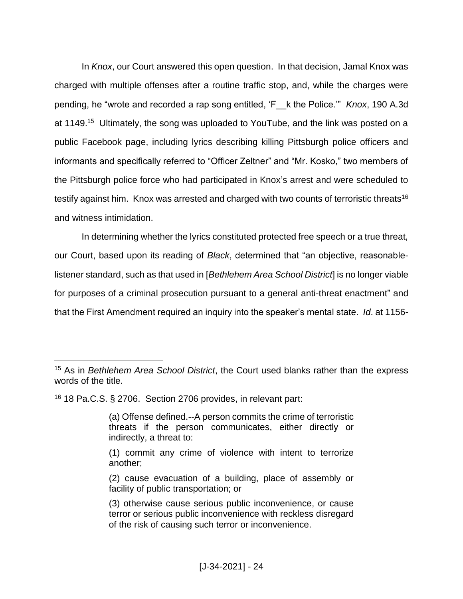In *Knox*, our Court answered this open question. In that decision, Jamal Knox was charged with multiple offenses after a routine traffic stop, and, while the charges were pending, he "wrote and recorded a rap song entitled, 'F\_\_k the Police.'" *Knox*, 190 A.3d at 1149.<sup>15</sup> Ultimately, the song was uploaded to YouTube, and the link was posted on a public Facebook page, including lyrics describing killing Pittsburgh police officers and informants and specifically referred to "Officer Zeltner" and "Mr. Kosko," two members of the Pittsburgh police force who had participated in Knox's arrest and were scheduled to testify against him. Knox was arrested and charged with two counts of terroristic threats<sup>16</sup> and witness intimidation.

In determining whether the lyrics constituted protected free speech or a true threat, our Court, based upon its reading of *Black*, determined that "an objective, reasonablelistener standard, such as that used in [*Bethlehem Area School District*] is no longer viable for purposes of a criminal prosecution pursuant to a general anti-threat enactment" and that the First Amendment required an inquiry into the speaker's mental state. *Id*. at 1156-

<sup>16</sup> 18 Pa.C.S. § 2706. Section 2706 provides, in relevant part:

 $\overline{a}$ 

(2) cause evacuation of a building, place of assembly or facility of public transportation; or

<sup>15</sup> As in *Bethlehem Area School District*, the Court used blanks rather than the express words of the title.

<sup>(</sup>a) Offense defined.--A person commits the crime of terroristic threats if the person communicates, either directly or indirectly, a threat to:

<sup>(1)</sup> commit any crime of violence with intent to terrorize another;

<sup>(3)</sup> otherwise cause serious public inconvenience, or cause terror or serious public inconvenience with reckless disregard of the risk of causing such terror or inconvenience.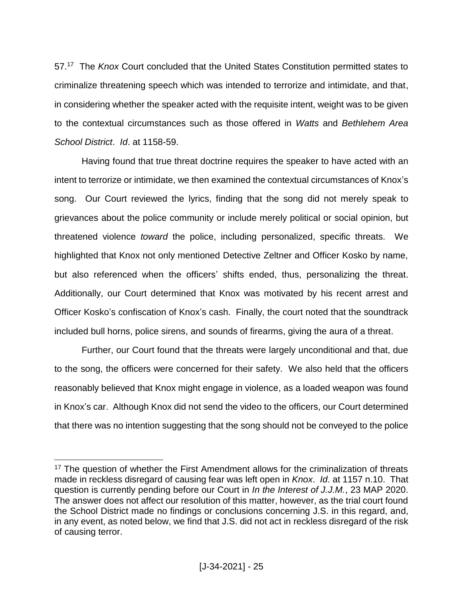57.<sup>17</sup> The *Knox* Court concluded that the United States Constitution permitted states to criminalize threatening speech which was intended to terrorize and intimidate, and that, in considering whether the speaker acted with the requisite intent, weight was to be given to the contextual circumstances such as those offered in *Watts* and *Bethlehem Area School District*. *Id*. at 1158-59.

Having found that true threat doctrine requires the speaker to have acted with an intent to terrorize or intimidate, we then examined the contextual circumstances of Knox's song. Our Court reviewed the lyrics, finding that the song did not merely speak to grievances about the police community or include merely political or social opinion, but threatened violence *toward* the police, including personalized, specific threats. We highlighted that Knox not only mentioned Detective Zeltner and Officer Kosko by name, but also referenced when the officers' shifts ended, thus, personalizing the threat. Additionally, our Court determined that Knox was motivated by his recent arrest and Officer Kosko's confiscation of Knox's cash. Finally, the court noted that the soundtrack included bull horns, police sirens, and sounds of firearms, giving the aura of a threat.

Further, our Court found that the threats were largely unconditional and that, due to the song, the officers were concerned for their safety. We also held that the officers reasonably believed that Knox might engage in violence, as a loaded weapon was found in Knox's car. Although Knox did not send the video to the officers, our Court determined that there was no intention suggesting that the song should not be conveyed to the police

<sup>&</sup>lt;sup>17</sup> The question of whether the First Amendment allows for the criminalization of threats made in reckless disregard of causing fear was left open in *Knox*. *Id*. at 1157 n.10. That question is currently pending before our Court in *In the Interest of J.J.M.*, 23 MAP 2020. The answer does not affect our resolution of this matter, however, as the trial court found the School District made no findings or conclusions concerning J.S. in this regard, and, in any event, as noted below, we find that J.S. did not act in reckless disregard of the risk of causing terror.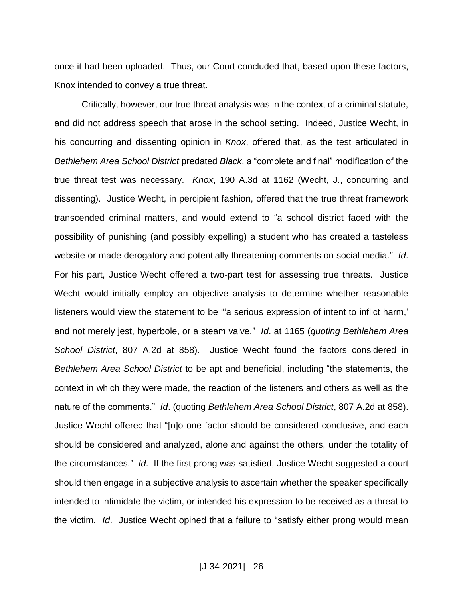once it had been uploaded. Thus, our Court concluded that, based upon these factors, Knox intended to convey a true threat.

Critically, however, our true threat analysis was in the context of a criminal statute, and did not address speech that arose in the school setting. Indeed, Justice Wecht, in his concurring and dissenting opinion in *Knox*, offered that, as the test articulated in *Bethlehem Area School District* predated *Black*, a "complete and final" modification of the true threat test was necessary. *Knox*, 190 A.3d at 1162 (Wecht, J., concurring and dissenting). Justice Wecht, in percipient fashion, offered that the true threat framework transcended criminal matters, and would extend to "a school district faced with the possibility of punishing (and possibly expelling) a student who has created a tasteless website or made derogatory and potentially threatening comments on social media." *Id*. For his part, Justice Wecht offered a two-part test for assessing true threats. Justice Wecht would initially employ an objective analysis to determine whether reasonable listeners would view the statement to be "a serious expression of intent to inflict harm,' and not merely jest, hyperbole, or a steam valve." *Id*. at 1165 (*quoting Bethlehem Area School District*, 807 A.2d at 858). Justice Wecht found the factors considered in *Bethlehem Area School District* to be apt and beneficial, including "the statements, the context in which they were made, the reaction of the listeners and others as well as the nature of the comments." *Id*. (quoting *Bethlehem Area School District*, 807 A.2d at 858). Justice Wecht offered that "[n]o one factor should be considered conclusive, and each should be considered and analyzed, alone and against the others, under the totality of the circumstances." *Id*. If the first prong was satisfied, Justice Wecht suggested a court should then engage in a subjective analysis to ascertain whether the speaker specifically intended to intimidate the victim, or intended his expression to be received as a threat to the victim. *Id*. Justice Wecht opined that a failure to "satisfy either prong would mean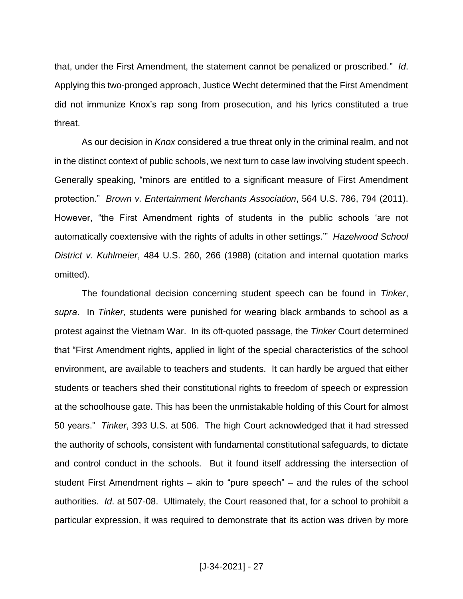that, under the First Amendment, the statement cannot be penalized or proscribed." *Id*. Applying this two-pronged approach, Justice Wecht determined that the First Amendment did not immunize Knox's rap song from prosecution, and his lyrics constituted a true threat.

As our decision in *Knox* considered a true threat only in the criminal realm, and not in the distinct context of public schools, we next turn to case law involving student speech. Generally speaking, "minors are entitled to a significant measure of First Amendment protection." *Brown v. Entertainment Merchants Association*, 564 U.S. 786, 794 (2011). However, "the First Amendment rights of students in the public schools 'are not automatically coextensive with the rights of adults in other settings.'" *Hazelwood School District v. Kuhlmeier*, 484 U.S. 260, 266 (1988) (citation and internal quotation marks omitted).

The foundational decision concerning student speech can be found in *Tinker*, *supra*. In *Tinker*, students were punished for wearing black armbands to school as a protest against the Vietnam War. In its oft-quoted passage, the *Tinker* Court determined that "First Amendment rights, applied in light of the special characteristics of the school environment, are available to teachers and students. It can hardly be argued that either students or teachers shed their constitutional rights to freedom of speech or expression at the schoolhouse gate. This has been the unmistakable holding of this Court for almost 50 years." *Tinker*, 393 U.S. at 506. The high Court acknowledged that it had stressed the authority of schools, consistent with fundamental constitutional safeguards, to dictate and control conduct in the schools. But it found itself addressing the intersection of student First Amendment rights – akin to "pure speech" – and the rules of the school authorities. *Id*. at 507-08. Ultimately, the Court reasoned that, for a school to prohibit a particular expression, it was required to demonstrate that its action was driven by more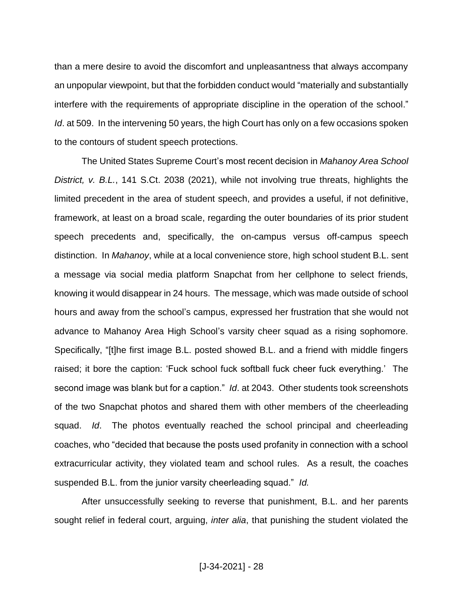than a mere desire to avoid the discomfort and unpleasantness that always accompany an unpopular viewpoint, but that the forbidden conduct would "materially and substantially interfere with the requirements of appropriate discipline in the operation of the school." *Id*. at 509. In the intervening 50 years, the high Court has only on a few occasions spoken to the contours of student speech protections.

The United States Supreme Court's most recent decision in *Mahanoy Area School District, v. B.L.*, 141 S.Ct. 2038 (2021), while not involving true threats, highlights the limited precedent in the area of student speech, and provides a useful, if not definitive, framework, at least on a broad scale, regarding the outer boundaries of its prior student speech precedents and, specifically, the on-campus versus off-campus speech distinction. In *Mahanoy*, while at a local convenience store, high school student B.L. sent a message via social media platform Snapchat from her cellphone to select friends, knowing it would disappear in 24 hours. The message, which was made outside of school hours and away from the school's campus, expressed her frustration that she would not advance to Mahanoy Area High School's varsity cheer squad as a rising sophomore. Specifically, "[t]he first image B.L. posted showed B.L. and a friend with middle fingers raised; it bore the caption: 'Fuck school fuck softball fuck cheer fuck everything.' The second image was blank but for a caption." *Id*. at 2043. Other students took screenshots of the two Snapchat photos and shared them with other members of the cheerleading squad. *Id*. The photos eventually reached the school principal and cheerleading coaches, who "decided that because the posts used profanity in connection with a school extracurricular activity, they violated team and school rules. As a result, the coaches suspended B.L. from the junior varsity cheerleading squad." *Id.*

After unsuccessfully seeking to reverse that punishment, B.L. and her parents sought relief in federal court, arguing, *inter alia*, that punishing the student violated the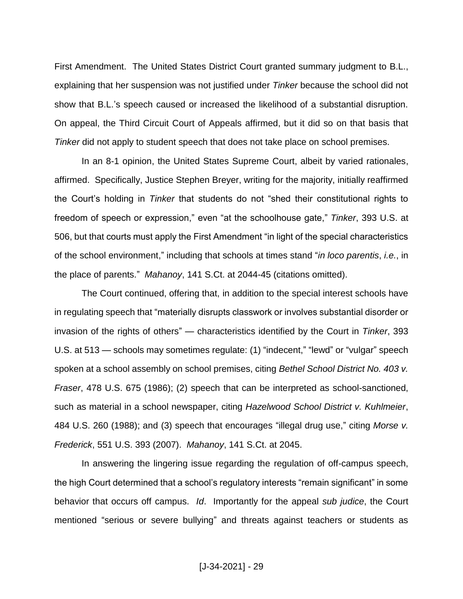First Amendment. The United States District Court granted summary judgment to B.L., explaining that her suspension was not justified under *Tinker* because the school did not show that B.L.'s speech caused or increased the likelihood of a substantial disruption. On appeal, the Third Circuit Court of Appeals affirmed, but it did so on that basis that *Tinker* did not apply to student speech that does not take place on school premises.

In an 8-1 opinion, the United States Supreme Court, albeit by varied rationales, affirmed. Specifically, Justice Stephen Breyer, writing for the majority, initially reaffirmed the Court's holding in *Tinker* that students do not "shed their constitutional rights to freedom of speech or expression," even "at the schoolhouse gate," *Tinker*, 393 U.S. at 506, but that courts must apply the First Amendment "in light of the special characteristics of the school environment," including that schools at times stand "*in loco parentis*, *i.e.*, in the place of parents." *Mahanoy*, 141 S.Ct. at 2044-45 (citations omitted).

The Court continued, offering that, in addition to the special interest schools have in regulating speech that "materially disrupts classwork or involves substantial disorder or invasion of the rights of others" — characteristics identified by the Court in *Tinker*, 393 U.S. at 513 — schools may sometimes regulate: (1) "indecent," "lewd" or "vulgar" speech spoken at a school assembly on school premises, citing *Bethel School District No. 403 v. Fraser*, 478 U.S. 675 (1986); (2) speech that can be interpreted as school-sanctioned, such as material in a school newspaper, citing *Hazelwood School District v. Kuhlmeier*, 484 U.S. 260 (1988); and (3) speech that encourages "illegal drug use," citing *Morse v. Frederick*, 551 U.S. 393 (2007). *Mahanoy*, 141 S.Ct. at 2045.

In answering the lingering issue regarding the regulation of off-campus speech, the high Court determined that a school's regulatory interests "remain significant" in some behavior that occurs off campus. *Id*. Importantly for the appeal *sub judice*, the Court mentioned "serious or severe bullying" and threats against teachers or students as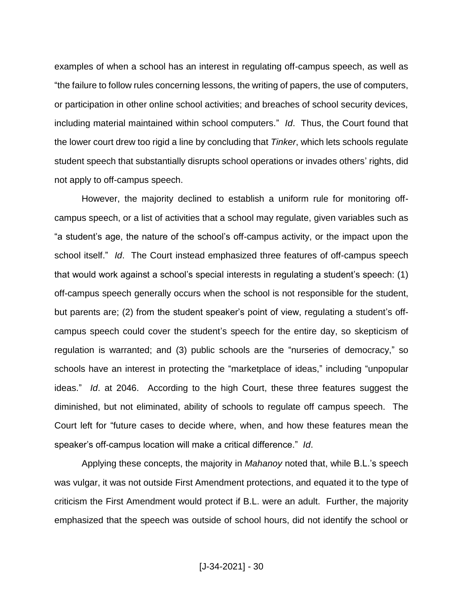examples of when a school has an interest in regulating off-campus speech, as well as "the failure to follow rules concerning lessons, the writing of papers, the use of computers, or participation in other online school activities; and breaches of school security devices, including material maintained within school computers." *Id*. Thus, the Court found that the lower court drew too rigid a line by concluding that *Tinker*, which lets schools regulate student speech that substantially disrupts school operations or invades others' rights, did not apply to off-campus speech.

However, the majority declined to establish a uniform rule for monitoring offcampus speech, or a list of activities that a school may regulate, given variables such as "a student's age, the nature of the school's off-campus activity, or the impact upon the school itself." *Id*. The Court instead emphasized three features of off-campus speech that would work against a school's special interests in regulating a student's speech: (1) off-campus speech generally occurs when the school is not responsible for the student, but parents are; (2) from the student speaker's point of view, regulating a student's offcampus speech could cover the student's speech for the entire day, so skepticism of regulation is warranted; and (3) public schools are the "nurseries of democracy," so schools have an interest in protecting the "marketplace of ideas," including "unpopular ideas." *Id*. at 2046. According to the high Court, these three features suggest the diminished, but not eliminated, ability of schools to regulate off campus speech. The Court left for "future cases to decide where, when, and how these features mean the speaker's off-campus location will make a critical difference." *Id*.

Applying these concepts, the majority in *Mahanoy* noted that, while B.L.'s speech was vulgar, it was not outside First Amendment protections, and equated it to the type of criticism the First Amendment would protect if B.L. were an adult. Further, the majority emphasized that the speech was outside of school hours, did not identify the school or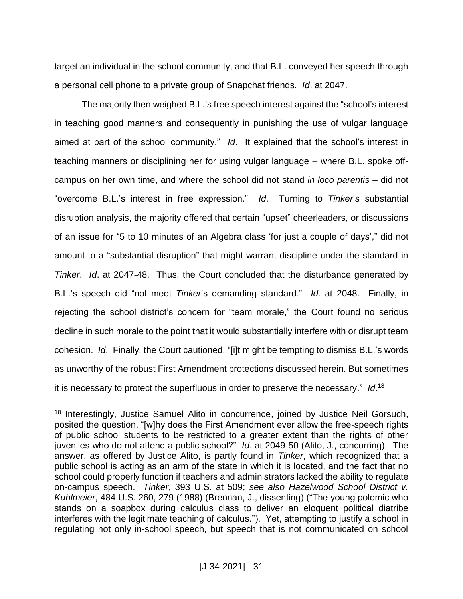target an individual in the school community, and that B.L. conveyed her speech through a personal cell phone to a private group of Snapchat friends. *Id*. at 2047.

The majority then weighed B.L.'s free speech interest against the "school's interest in teaching good manners and consequently in punishing the use of vulgar language aimed at part of the school community." *Id*. It explained that the school's interest in teaching manners or disciplining her for using vulgar language – where B.L. spoke offcampus on her own time, and where the school did not stand *in loco parentis* – did not "overcome B.L.'s interest in free expression." *Id*. Turning to *Tinker*'s substantial disruption analysis, the majority offered that certain "upset" cheerleaders, or discussions of an issue for "5 to 10 minutes of an Algebra class 'for just a couple of days'," did not amount to a "substantial disruption" that might warrant discipline under the standard in *Tinker*. *Id*. at 2047-48. Thus, the Court concluded that the disturbance generated by B.L.'s speech did "not meet *Tinker*'s demanding standard." *Id.* at 2048. Finally, in rejecting the school district's concern for "team morale," the Court found no serious decline in such morale to the point that it would substantially interfere with or disrupt team cohesion. *Id*. Finally, the Court cautioned, "[i]t might be tempting to dismiss B.L.'s words as unworthy of the robust First Amendment protections discussed herein. But sometimes it is necessary to protect the superfluous in order to preserve the necessary." *Id*. 18

<sup>&</sup>lt;sup>18</sup> Interestingly, Justice Samuel Alito in concurrence, joined by Justice Neil Gorsuch, posited the question, "[w]hy does the First Amendment ever allow the free-speech rights of public school students to be restricted to a greater extent than the rights of other juveniles who do not attend a public school?" *Id*. at 2049-50 (Alito, J., concurring). The answer, as offered by Justice Alito, is partly found in *Tinker*, which recognized that a public school is acting as an arm of the state in which it is located, and the fact that no school could properly function if teachers and administrators lacked the ability to regulate on-campus speech. *Tinker*, 393 U.S. at 509; *see also Hazelwood School District v. Kuhlmeier*, 484 U.S. 260, 279 (1988) (Brennan, J., dissenting) ("The young polemic who stands on a soapbox during calculus class to deliver an eloquent political diatribe interferes with the legitimate teaching of calculus."). Yet, attempting to justify a school in regulating not only in-school speech, but speech that is not communicated on school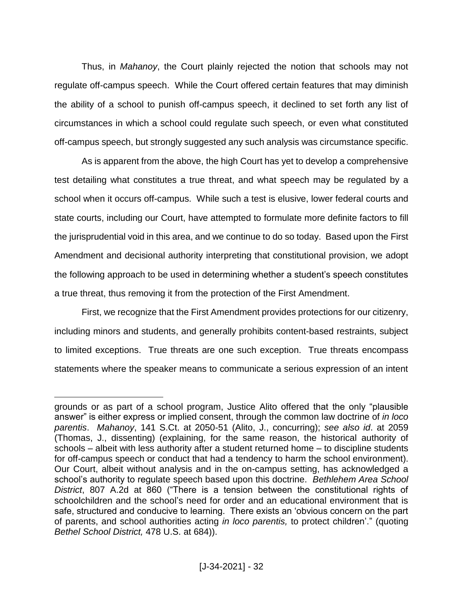Thus, in *Mahanoy*, the Court plainly rejected the notion that schools may not regulate off-campus speech. While the Court offered certain features that may diminish the ability of a school to punish off-campus speech, it declined to set forth any list of circumstances in which a school could regulate such speech, or even what constituted off-campus speech, but strongly suggested any such analysis was circumstance specific.

As is apparent from the above, the high Court has yet to develop a comprehensive test detailing what constitutes a true threat, and what speech may be regulated by a school when it occurs off-campus. While such a test is elusive, lower federal courts and state courts, including our Court, have attempted to formulate more definite factors to fill the jurisprudential void in this area, and we continue to do so today. Based upon the First Amendment and decisional authority interpreting that constitutional provision, we adopt the following approach to be used in determining whether a student's speech constitutes a true threat, thus removing it from the protection of the First Amendment.

First, we recognize that the First Amendment provides protections for our citizenry, including minors and students, and generally prohibits content-based restraints, subject to limited exceptions. True threats are one such exception. True threats encompass statements where the speaker means to communicate a serious expression of an intent

grounds or as part of a school program, Justice Alito offered that the only "plausible answer" is either express or implied consent, through the common law doctrine of *in loco parentis*. *Mahanoy*, 141 S.Ct. at 2050-51 (Alito, J., concurring); *see also id*. at 2059 (Thomas, J., dissenting) (explaining, for the same reason, the historical authority of schools – albeit with less authority after a student returned home – to discipline students for off-campus speech or conduct that had a tendency to harm the school environment). Our Court, albeit without analysis and in the on-campus setting, has acknowledged a school's authority to regulate speech based upon this doctrine. *Bethlehem Area School District*, 807 A.2d at 860 ("There is a tension between the constitutional rights of schoolchildren and the school's need for order and an educational environment that is safe, structured and conducive to learning. There exists an 'obvious concern on the part of parents, and school authorities acting *in loco parentis,* to protect children'." (quoting *Bethel School District,* 478 U.S. at 684)).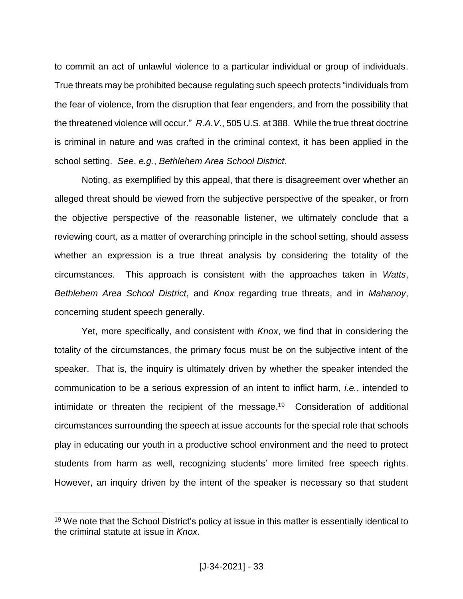to commit an act of unlawful violence to a particular individual or group of individuals. True threats may be prohibited because regulating such speech protects "individuals from the fear of violence, from the disruption that fear engenders, and from the possibility that the threatened violence will occur." *R.A.V.*, 505 U.S. at 388. While the true threat doctrine is criminal in nature and was crafted in the criminal context, it has been applied in the school setting. *See*, *e.g.*, *Bethlehem Area School District*.

Noting, as exemplified by this appeal, that there is disagreement over whether an alleged threat should be viewed from the subjective perspective of the speaker, or from the objective perspective of the reasonable listener, we ultimately conclude that a reviewing court, as a matter of overarching principle in the school setting, should assess whether an expression is a true threat analysis by considering the totality of the circumstances. This approach is consistent with the approaches taken in *Watts*, *Bethlehem Area School District*, and *Knox* regarding true threats, and in *Mahanoy*, concerning student speech generally.

Yet, more specifically, and consistent with *Knox*, we find that in considering the totality of the circumstances, the primary focus must be on the subjective intent of the speaker. That is, the inquiry is ultimately driven by whether the speaker intended the communication to be a serious expression of an intent to inflict harm, *i.e.*, intended to intimidate or threaten the recipient of the message. 19 Consideration of additional circumstances surrounding the speech at issue accounts for the special role that schools play in educating our youth in a productive school environment and the need to protect students from harm as well, recognizing students' more limited free speech rights. However, an inquiry driven by the intent of the speaker is necessary so that student

<sup>&</sup>lt;sup>19</sup> We note that the School District's policy at issue in this matter is essentially identical to the criminal statute at issue in *Knox*.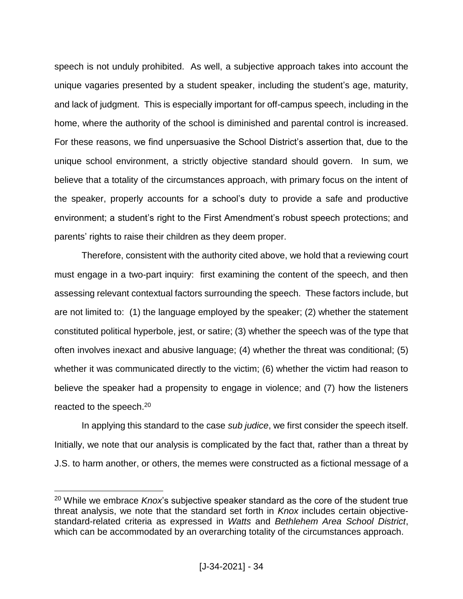speech is not unduly prohibited. As well, a subjective approach takes into account the unique vagaries presented by a student speaker, including the student's age, maturity, and lack of judgment. This is especially important for off-campus speech, including in the home, where the authority of the school is diminished and parental control is increased. For these reasons, we find unpersuasive the School District's assertion that, due to the unique school environment, a strictly objective standard should govern. In sum, we believe that a totality of the circumstances approach, with primary focus on the intent of the speaker, properly accounts for a school's duty to provide a safe and productive environment; a student's right to the First Amendment's robust speech protections; and parents' rights to raise their children as they deem proper.

Therefore, consistent with the authority cited above, we hold that a reviewing court must engage in a two-part inquiry: first examining the content of the speech, and then assessing relevant contextual factors surrounding the speech. These factors include, but are not limited to: (1) the language employed by the speaker; (2) whether the statement constituted political hyperbole, jest, or satire; (3) whether the speech was of the type that often involves inexact and abusive language; (4) whether the threat was conditional; (5) whether it was communicated directly to the victim; (6) whether the victim had reason to believe the speaker had a propensity to engage in violence; and (7) how the listeners reacted to the speech.<sup>20</sup>

In applying this standard to the case *sub judice*, we first consider the speech itself. Initially, we note that our analysis is complicated by the fact that, rather than a threat by J.S. to harm another, or others, the memes were constructed as a fictional message of a

<sup>20</sup> While we embrace *Knox*'s subjective speaker standard as the core of the student true threat analysis, we note that the standard set forth in *Knox* includes certain objectivestandard-related criteria as expressed in *Watts* and *Bethlehem Area School District*, which can be accommodated by an overarching totality of the circumstances approach.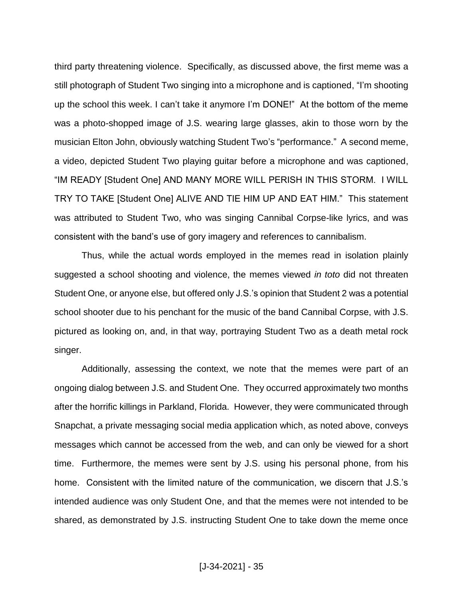third party threatening violence. Specifically, as discussed above, the first meme was a still photograph of Student Two singing into a microphone and is captioned, "I'm shooting up the school this week. I can't take it anymore I'm DONE!" At the bottom of the meme was a photo-shopped image of J.S. wearing large glasses, akin to those worn by the musician Elton John, obviously watching Student Two's "performance." A second meme, a video, depicted Student Two playing guitar before a microphone and was captioned, "IM READY [Student One] AND MANY MORE WILL PERISH IN THIS STORM. I WILL TRY TO TAKE [Student One] ALIVE AND TIE HIM UP AND EAT HIM." This statement was attributed to Student Two, who was singing Cannibal Corpse-like lyrics, and was consistent with the band's use of gory imagery and references to cannibalism.

Thus, while the actual words employed in the memes read in isolation plainly suggested a school shooting and violence, the memes viewed *in toto* did not threaten Student One, or anyone else, but offered only J.S.'s opinion that Student 2 was a potential school shooter due to his penchant for the music of the band Cannibal Corpse, with J.S. pictured as looking on, and, in that way, portraying Student Two as a death metal rock singer.

Additionally, assessing the context, we note that the memes were part of an ongoing dialog between J.S. and Student One. They occurred approximately two months after the horrific killings in Parkland, Florida. However, they were communicated through Snapchat, a private messaging social media application which, as noted above, conveys messages which cannot be accessed from the web, and can only be viewed for a short time. Furthermore, the memes were sent by J.S. using his personal phone, from his home. Consistent with the limited nature of the communication, we discern that J.S.'s intended audience was only Student One, and that the memes were not intended to be shared, as demonstrated by J.S. instructing Student One to take down the meme once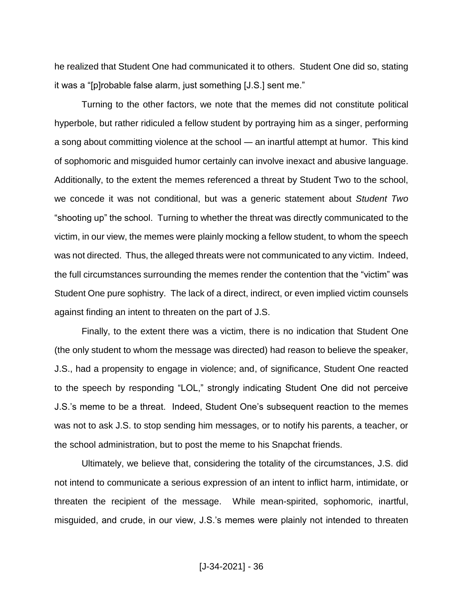he realized that Student One had communicated it to others. Student One did so, stating it was a "[p]robable false alarm, just something [J.S.] sent me."

Turning to the other factors, we note that the memes did not constitute political hyperbole, but rather ridiculed a fellow student by portraying him as a singer, performing a song about committing violence at the school ― an inartful attempt at humor. This kind of sophomoric and misguided humor certainly can involve inexact and abusive language. Additionally, to the extent the memes referenced a threat by Student Two to the school, we concede it was not conditional, but was a generic statement about *Student Two* "shooting up" the school. Turning to whether the threat was directly communicated to the victim, in our view, the memes were plainly mocking a fellow student, to whom the speech was not directed. Thus, the alleged threats were not communicated to any victim. Indeed, the full circumstances surrounding the memes render the contention that the "victim" was Student One pure sophistry. The lack of a direct, indirect, or even implied victim counsels against finding an intent to threaten on the part of J.S.

Finally, to the extent there was a victim, there is no indication that Student One (the only student to whom the message was directed) had reason to believe the speaker, J.S., had a propensity to engage in violence; and, of significance, Student One reacted to the speech by responding "LOL," strongly indicating Student One did not perceive J.S.'s meme to be a threat. Indeed, Student One's subsequent reaction to the memes was not to ask J.S. to stop sending him messages, or to notify his parents, a teacher, or the school administration, but to post the meme to his Snapchat friends.

Ultimately, we believe that, considering the totality of the circumstances, J.S. did not intend to communicate a serious expression of an intent to inflict harm, intimidate, or threaten the recipient of the message. While mean-spirited, sophomoric, inartful, misguided, and crude, in our view, J.S.'s memes were plainly not intended to threaten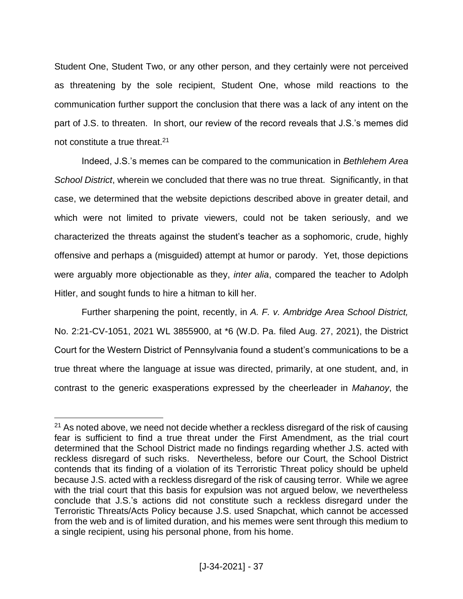Student One, Student Two, or any other person, and they certainly were not perceived as threatening by the sole recipient, Student One, whose mild reactions to the communication further support the conclusion that there was a lack of any intent on the part of J.S. to threaten. In short, our review of the record reveals that J.S.'s memes did not constitute a true threat.<sup>21</sup>

Indeed, J.S.'s memes can be compared to the communication in *Bethlehem Area School District*, wherein we concluded that there was no true threat. Significantly, in that case, we determined that the website depictions described above in greater detail, and which were not limited to private viewers, could not be taken seriously, and we characterized the threats against the student's teacher as a sophomoric, crude, highly offensive and perhaps a (misguided) attempt at humor or parody. Yet, those depictions were arguably more objectionable as they, *inter alia*, compared the teacher to Adolph Hitler, and sought funds to hire a hitman to kill her.

Further sharpening the point, recently, in *A. F. v. Ambridge Area School District,* No. 2:21-CV-1051, 2021 WL 3855900, at \*6 (W.D. Pa. filed Aug. 27, 2021), the District Court for the Western District of Pennsylvania found a student's communications to be a true threat where the language at issue was directed, primarily, at one student, and, in contrast to the generic exasperations expressed by the cheerleader in *Mahanoy*, the

 $21$  As noted above, we need not decide whether a reckless disregard of the risk of causing fear is sufficient to find a true threat under the First Amendment, as the trial court determined that the School District made no findings regarding whether J.S. acted with reckless disregard of such risks. Nevertheless, before our Court, the School District contends that its finding of a violation of its Terroristic Threat policy should be upheld because J.S. acted with a reckless disregard of the risk of causing terror. While we agree with the trial court that this basis for expulsion was not argued below, we nevertheless conclude that J.S.'s actions did not constitute such a reckless disregard under the Terroristic Threats/Acts Policy because J.S. used Snapchat, which cannot be accessed from the web and is of limited duration, and his memes were sent through this medium to a single recipient, using his personal phone, from his home.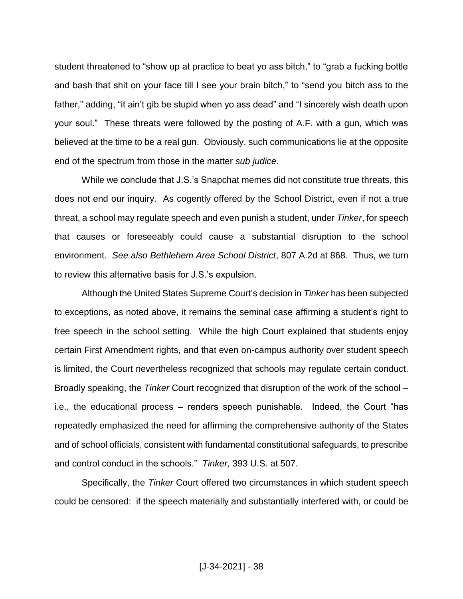student threatened to "show up at practice to beat yo ass bitch," to "grab a fucking bottle and bash that shit on your face till I see your brain bitch," to "send you bitch ass to the father," adding, "it ain't gib be stupid when yo ass dead" and "I sincerely wish death upon your soul." These threats were followed by the posting of A.F. with a gun, which was believed at the time to be a real gun. Obviously, such communications lie at the opposite end of the spectrum from those in the matter *sub judice*.

While we conclude that J.S.'s Snapchat memes did not constitute true threats, this does not end our inquiry. As cogently offered by the School District, even if not a true threat, a school may regulate speech and even punish a student, under *Tinker*, for speech that causes or foreseeably could cause a substantial disruption to the school environment. *See also Bethlehem Area School District*, 807 A.2d at 868. Thus, we turn to review this alternative basis for J.S.'s expulsion.

Although the United States Supreme Court's decision in *Tinker* has been subjected to exceptions, as noted above, it remains the seminal case affirming a student's right to free speech in the school setting. While the high Court explained that students enjoy certain First Amendment rights, and that even on-campus authority over student speech is limited, the Court nevertheless recognized that schools may regulate certain conduct. Broadly speaking, the *Tinker* Court recognized that disruption of the work of the school – i.e., the educational process – renders speech punishable. Indeed, the Court "has repeatedly emphasized the need for affirming the comprehensive authority of the States and of school officials, consistent with fundamental constitutional safeguards, to prescribe and control conduct in the schools." *Tinker,* 393 U.S. at 507.

Specifically, the *Tinker* Court offered two circumstances in which student speech could be censored: if the speech materially and substantially interfered with, or could be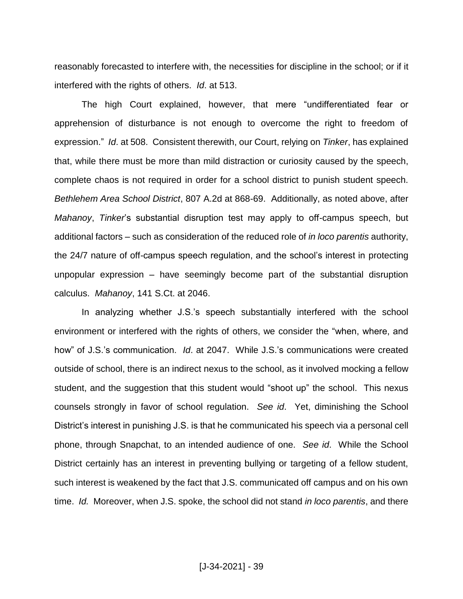reasonably forecasted to interfere with, the necessities for discipline in the school; or if it interfered with the rights of others. *Id*. at 513.

The high Court explained, however, that mere "undifferentiated fear or apprehension of disturbance is not enough to overcome the right to freedom of expression." *Id*. at 508. Consistent therewith, our Court, relying on *Tinker*, has explained that, while there must be more than mild distraction or curiosity caused by the speech, complete chaos is not required in order for a school district to punish student speech. *Bethlehem Area School District*, 807 A.2d at 868-69. Additionally, as noted above, after *Mahanoy*, *Tinker*'s substantial disruption test may apply to off-campus speech, but additional factors – such as consideration of the reduced role of *in loco parentis* authority, the 24/7 nature of off-campus speech regulation, and the school's interest in protecting unpopular expression – have seemingly become part of the substantial disruption calculus. *Mahanoy*, 141 S.Ct. at 2046.

In analyzing whether J.S.'s speech substantially interfered with the school environment or interfered with the rights of others, we consider the "when, where, and how" of J.S.'s communication. *Id*. at 2047. While J.S.'s communications were created outside of school, there is an indirect nexus to the school, as it involved mocking a fellow student, and the suggestion that this student would "shoot up" the school. This nexus counsels strongly in favor of school regulation. *See id*. Yet, diminishing the School District's interest in punishing J.S. is that he communicated his speech via a personal cell phone, through Snapchat, to an intended audience of one. *See id*. While the School District certainly has an interest in preventing bullying or targeting of a fellow student, such interest is weakened by the fact that J.S. communicated off campus and on his own time. *Id.* Moreover, when J.S. spoke, the school did not stand *in loco parentis*, and there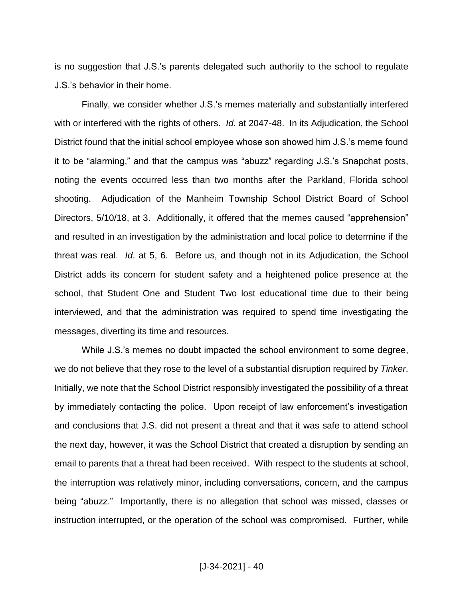is no suggestion that J.S.'s parents delegated such authority to the school to regulate J.S.'s behavior in their home.

Finally, we consider whether J.S.'s memes materially and substantially interfered with or interfered with the rights of others. *Id*. at 2047-48. In its Adjudication, the School District found that the initial school employee whose son showed him J.S.'s meme found it to be "alarming," and that the campus was "abuzz" regarding J.S.'s Snapchat posts, noting the events occurred less than two months after the Parkland, Florida school shooting. Adjudication of the Manheim Township School District Board of School Directors, 5/10/18, at 3. Additionally, it offered that the memes caused "apprehension" and resulted in an investigation by the administration and local police to determine if the threat was real. *Id*. at 5, 6. Before us, and though not in its Adjudication, the School District adds its concern for student safety and a heightened police presence at the school, that Student One and Student Two lost educational time due to their being interviewed, and that the administration was required to spend time investigating the messages, diverting its time and resources.

While J.S.'s memes no doubt impacted the school environment to some degree, we do not believe that they rose to the level of a substantial disruption required by *Tinker*. Initially, we note that the School District responsibly investigated the possibility of a threat by immediately contacting the police. Upon receipt of law enforcement's investigation and conclusions that J.S. did not present a threat and that it was safe to attend school the next day, however, it was the School District that created a disruption by sending an email to parents that a threat had been received. With respect to the students at school, the interruption was relatively minor, including conversations, concern, and the campus being "abuzz." Importantly, there is no allegation that school was missed, classes or instruction interrupted, or the operation of the school was compromised. Further, while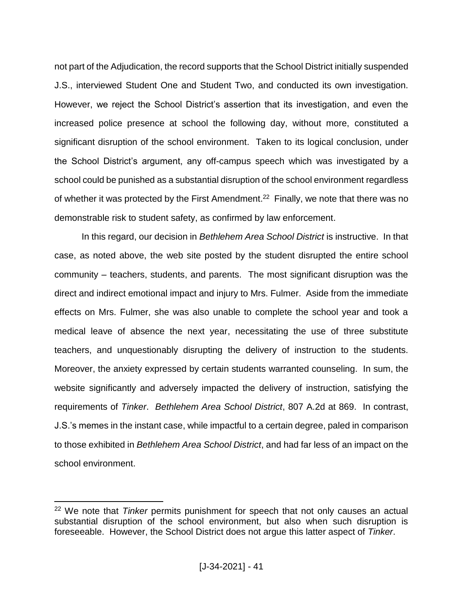not part of the Adjudication, the record supports that the School District initially suspended J.S., interviewed Student One and Student Two, and conducted its own investigation. However, we reject the School District's assertion that its investigation, and even the increased police presence at school the following day, without more, constituted a significant disruption of the school environment. Taken to its logical conclusion, under the School District's argument, any off-campus speech which was investigated by a school could be punished as a substantial disruption of the school environment regardless of whether it was protected by the First Amendment.<sup>22</sup> Finally, we note that there was no demonstrable risk to student safety, as confirmed by law enforcement.

In this regard, our decision in *Bethlehem Area School District* is instructive. In that case, as noted above, the web site posted by the student disrupted the entire school community – teachers, students, and parents. The most significant disruption was the direct and indirect emotional impact and injury to Mrs. Fulmer. Aside from the immediate effects on Mrs. Fulmer, she was also unable to complete the school year and took a medical leave of absence the next year, necessitating the use of three substitute teachers, and unquestionably disrupting the delivery of instruction to the students. Moreover, the anxiety expressed by certain students warranted counseling. In sum, the website significantly and adversely impacted the delivery of instruction, satisfying the requirements of *Tinker*. *Bethlehem Area School District*, 807 A.2d at 869. In contrast, J.S.'s memes in the instant case, while impactful to a certain degree, paled in comparison to those exhibited in *Bethlehem Area School District*, and had far less of an impact on the school environment.

<sup>22</sup> We note that *Tinker* permits punishment for speech that not only causes an actual substantial disruption of the school environment, but also when such disruption is foreseeable. However, the School District does not argue this latter aspect of *Tinker*.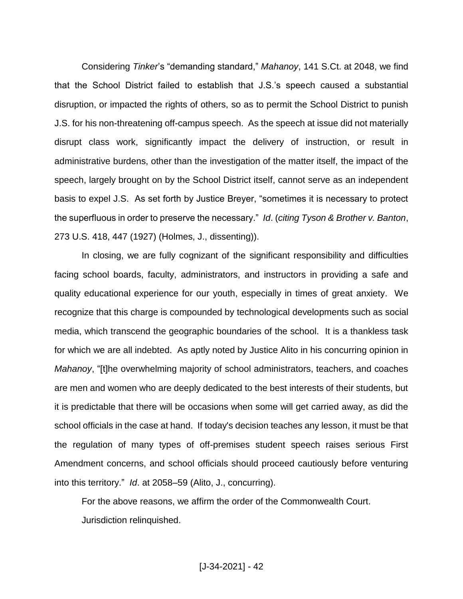Considering *Tinker*'s "demanding standard," *Mahanoy*, 141 S.Ct. at 2048, we find that the School District failed to establish that J.S.'s speech caused a substantial disruption, or impacted the rights of others, so as to permit the School District to punish J.S. for his non-threatening off-campus speech. As the speech at issue did not materially disrupt class work, significantly impact the delivery of instruction, or result in administrative burdens, other than the investigation of the matter itself, the impact of the speech, largely brought on by the School District itself, cannot serve as an independent basis to expel J.S. As set forth by Justice Breyer, "sometimes it is necessary to protect the superfluous in order to preserve the necessary." *Id*. (*citing Tyson & Brother v. Banton*, 273 U.S. 418, 447 (1927) (Holmes, J., dissenting)).

In closing, we are fully cognizant of the significant responsibility and difficulties facing school boards, faculty, administrators, and instructors in providing a safe and quality educational experience for our youth, especially in times of great anxiety. We recognize that this charge is compounded by technological developments such as social media, which transcend the geographic boundaries of the school. It is a thankless task for which we are all indebted. As aptly noted by Justice Alito in his concurring opinion in *Mahanoy*, "[t]he overwhelming majority of school administrators, teachers, and coaches are men and women who are deeply dedicated to the best interests of their students, but it is predictable that there will be occasions when some will get carried away, as did the school officials in the case at hand. If today's decision teaches any lesson, it must be that the regulation of many types of off-premises student speech raises serious First Amendment concerns, and school officials should proceed cautiously before venturing into this territory." *Id*. at 2058–59 (Alito, J., concurring).

For the above reasons, we affirm the order of the Commonwealth Court. Jurisdiction relinquished.